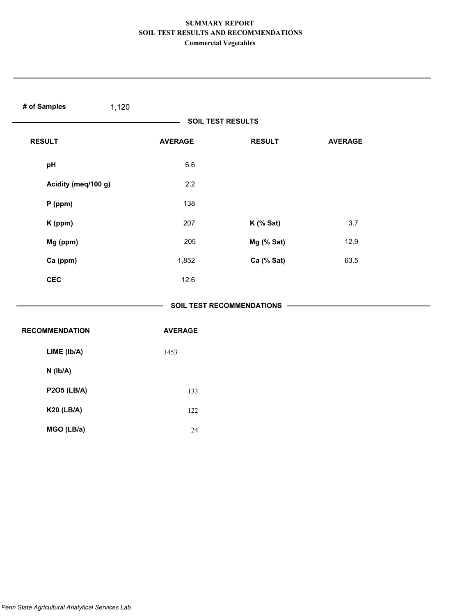| # of Samples<br>1,120 |                |                             |                |  |
|-----------------------|----------------|-----------------------------|----------------|--|
|                       |                | <b>SOIL TEST RESULTS</b>    |                |  |
| <b>RESULT</b>         | <b>AVERAGE</b> | <b>RESULT</b>               | <b>AVERAGE</b> |  |
| pH                    | $6.6\,$        |                             |                |  |
| Acidity (meq/100 g)   | 2.2            |                             |                |  |
| $P$ (ppm)             | 138            |                             |                |  |
| K (ppm)               | 207            | K (% Sat)                   | 3.7            |  |
| Mg (ppm)              | 205            | Mg (% Sat)                  | 12.9           |  |
| Ca (ppm)              | 1,852          | Ca (% Sat)                  | 63.5           |  |
| <b>CEC</b>            | 12.6           |                             |                |  |
|                       |                | SOIL TEST RECOMMENDATIONS - |                |  |
| <b>RECOMMENDATION</b> | <b>AVERAGE</b> |                             |                |  |
| LIME (Ib/A)           | 1453           |                             |                |  |
| $N$ ( $lb/A$ )        |                |                             |                |  |
| <b>P2O5 (LB/A)</b>    | 133            |                             |                |  |
| <b>K20 (LB/A)</b>     | 122            |                             |                |  |
| MGO (LB/a)            | 24             |                             |                |  |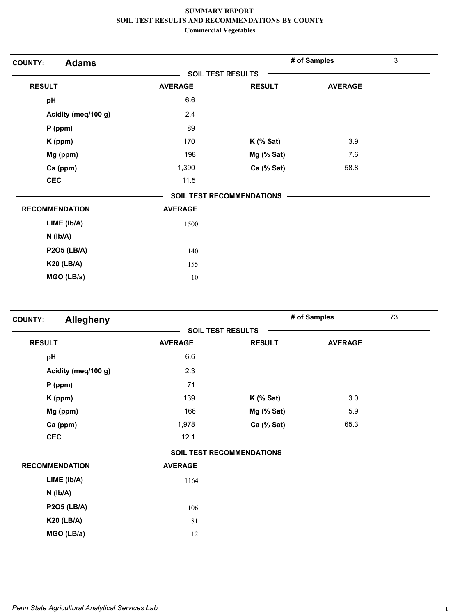| <b>Adams</b>          | <b>SOIL TEST RESULTS</b> |                           |                |  |
|-----------------------|--------------------------|---------------------------|----------------|--|
|                       |                          |                           |                |  |
| <b>RESULT</b>         | <b>AVERAGE</b>           | <b>RESULT</b>             | <b>AVERAGE</b> |  |
| pH                    | 6.6                      |                           |                |  |
| Acidity (meq/100 g)   | 2.4                      |                           |                |  |
| $P$ (ppm)             | 89                       |                           |                |  |
| K (ppm)               | 170                      | $K$ (% Sat)               | 3.9            |  |
| Mg (ppm)              | 198                      | Mg (% Sat)                | 7.6            |  |
| Ca (ppm)              | 1,390                    | Ca (% Sat)                | 58.8           |  |
| <b>CEC</b>            | 11.5                     |                           |                |  |
|                       |                          | SOIL TEST RECOMMENDATIONS |                |  |
| <b>RECOMMENDATION</b> | <b>AVERAGE</b>           |                           |                |  |
| LIME (lb/A)           | 1500                     |                           |                |  |
| $N$ ( $lb/A$ )        |                          |                           |                |  |
| <b>P2O5 (LB/A)</b>    | 140                      |                           |                |  |
| <b>K20 (LB/A)</b>     | 155                      |                           |                |  |
| MGO (LB/a)            | 10                       |                           |                |  |

| <b>COUNTY:</b>        | Allegheny           |                |                                  | # of Samples   | 73 |
|-----------------------|---------------------|----------------|----------------------------------|----------------|----|
|                       |                     |                | <b>SOIL TEST RESULTS</b>         |                |    |
| <b>RESULT</b>         |                     | <b>AVERAGE</b> | <b>RESULT</b>                    | <b>AVERAGE</b> |    |
| pH                    |                     | 6.6            |                                  |                |    |
|                       | Acidity (meq/100 g) | 2.3            |                                  |                |    |
| $P$ (ppm)             |                     | 71             |                                  |                |    |
| K (ppm)               |                     | 139            | $K$ (% Sat)                      | 3.0            |    |
| Mg (ppm)              |                     | 166            | Mg (% Sat)                       | 5.9            |    |
| Ca (ppm)              |                     | 1,978          | Ca (% Sat)                       | 65.3           |    |
| <b>CEC</b>            |                     | 12.1           |                                  |                |    |
|                       |                     |                | <b>SOIL TEST RECOMMENDATIONS</b> |                |    |
| <b>RECOMMENDATION</b> |                     | <b>AVERAGE</b> |                                  |                |    |
|                       | LIME (Ib/A)         | 1164           |                                  |                |    |
| $N$ ( $lb/A$ )        |                     |                |                                  |                |    |
|                       | <b>P2O5 (LB/A)</b>  | 106            |                                  |                |    |
|                       | <b>K20 (LB/A)</b>   | 81             |                                  |                |    |
|                       | MGO (LB/a)          | 12             |                                  |                |    |
|                       |                     |                |                                  |                |    |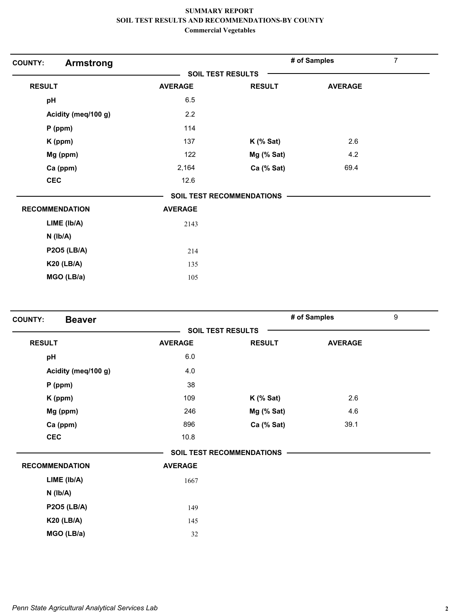| <b>COUNTY:</b><br><b>Armstrong</b> |                |                                  | # of Samples   | 7 |
|------------------------------------|----------------|----------------------------------|----------------|---|
|                                    |                | <b>SOIL TEST RESULTS</b>         |                |   |
| <b>RESULT</b>                      | <b>AVERAGE</b> | <b>RESULT</b>                    | <b>AVERAGE</b> |   |
| pH                                 | 6.5            |                                  |                |   |
| Acidity (meq/100 g)                | 2.2            |                                  |                |   |
| $P$ (ppm)                          | 114            |                                  |                |   |
| K (ppm)                            | 137            | $K$ (% Sat)                      | 2.6            |   |
| Mg (ppm)                           | 122            | Mg (% Sat)                       | 4.2            |   |
| Ca (ppm)                           | 2,164          | Ca (% Sat)                       | 69.4           |   |
| <b>CEC</b>                         | 12.6           |                                  |                |   |
|                                    |                | <b>SOIL TEST RECOMMENDATIONS</b> |                |   |
| <b>RECOMMENDATION</b>              | <b>AVERAGE</b> |                                  |                |   |
| $LIME$ ( $lb/A$ )                  | 2143           |                                  |                |   |
| $N$ ( $Ib/A$ )                     |                |                                  |                |   |
| <b>P2O5 (LB/A)</b>                 | 214            |                                  |                |   |
| <b>K20 (LB/A)</b>                  | 135            |                                  |                |   |
| MGO (LB/a)                         | 105            |                                  |                |   |
|                                    |                |                                  |                |   |

| <b>Beaver</b><br><b>SOIL TEST RESULTS</b><br><b>RESULT</b><br><b>AVERAGE</b><br><b>RESULT</b><br>6.0<br>pH<br>Acidity (meq/100 g)<br>4.0<br>38<br>$P$ (ppm) | <b>AVERAGE</b> |  |
|-------------------------------------------------------------------------------------------------------------------------------------------------------------|----------------|--|
|                                                                                                                                                             |                |  |
|                                                                                                                                                             |                |  |
|                                                                                                                                                             |                |  |
|                                                                                                                                                             |                |  |
|                                                                                                                                                             |                |  |
| 109<br>$K$ (% Sat)<br>K (ppm)                                                                                                                               | 2.6            |  |
| Mg (ppm)<br>246<br>Mg (% Sat)                                                                                                                               | 4.6            |  |
| Ca (ppm)<br>896<br>Ca (% Sat)                                                                                                                               | 39.1           |  |
| <b>CEC</b><br>10.8                                                                                                                                          |                |  |
| <b>SOIL TEST RECOMMENDATIONS</b>                                                                                                                            |                |  |
| <b>AVERAGE</b><br><b>RECOMMENDATION</b>                                                                                                                     |                |  |
| LIME (lb/A)<br>1667                                                                                                                                         |                |  |
| $N$ ( $Ib/A$ )                                                                                                                                              |                |  |
| <b>P2O5 (LB/A)</b><br>149                                                                                                                                   |                |  |
| <b>K20 (LB/A)</b><br>145                                                                                                                                    |                |  |
| MGO (LB/a)<br>32                                                                                                                                            |                |  |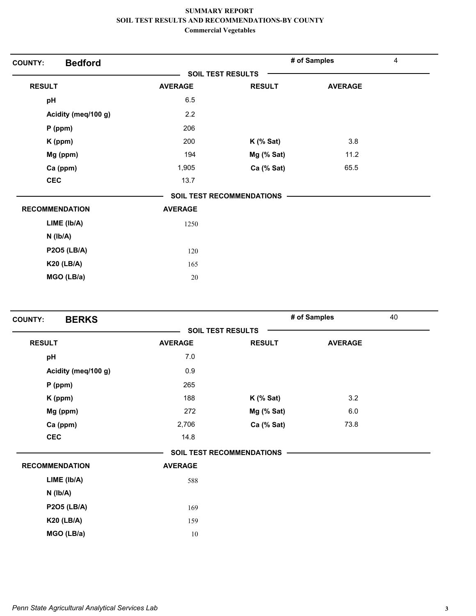| <b>Bedford</b><br><b>COUNTY:</b> |                |                           | # of Samples   | $\overline{4}$ |
|----------------------------------|----------------|---------------------------|----------------|----------------|
|                                  |                | <b>SOIL TEST RESULTS</b>  |                |                |
| <b>RESULT</b>                    | <b>AVERAGE</b> | <b>RESULT</b>             | <b>AVERAGE</b> |                |
| pH                               | 6.5            |                           |                |                |
| Acidity (meq/100 g)              | 2.2            |                           |                |                |
| P (ppm)                          | 206            |                           |                |                |
| K (ppm)                          | 200            | $K$ (% Sat)               | 3.8            |                |
| Mg (ppm)                         | 194            | Mg (% Sat)                | 11.2           |                |
| Ca (ppm)                         | 1,905          | Ca (% Sat)                | 65.5           |                |
| <b>CEC</b>                       | 13.7           |                           |                |                |
|                                  |                | SOIL TEST RECOMMENDATIONS |                |                |
| <b>RECOMMENDATION</b>            | <b>AVERAGE</b> |                           |                |                |
| LIME (Ib/A)                      | 1250           |                           |                |                |
| $N$ ( $Ib/A$ )                   |                |                           |                |                |
| <b>P2O5 (LB/A)</b>               | 120            |                           |                |                |
| <b>K20 (LB/A)</b>                | 165            |                           |                |                |
| MGO (LB/a)                       | $20\,$         |                           |                |                |

| <b>BERKS</b><br><b>COUNTY:</b> |                |                                  | # of Samples   | 40 |
|--------------------------------|----------------|----------------------------------|----------------|----|
|                                |                | <b>SOIL TEST RESULTS</b>         |                |    |
| <b>RESULT</b>                  | <b>AVERAGE</b> | <b>RESULT</b>                    | <b>AVERAGE</b> |    |
| pH                             | 7.0            |                                  |                |    |
| Acidity (meq/100 g)            | 0.9            |                                  |                |    |
| $P$ (ppm)                      | 265            |                                  |                |    |
| K (ppm)                        | 188            | $K$ (% Sat)                      | 3.2            |    |
| Mg (ppm)                       | 272            | Mg (% Sat)                       | 6.0            |    |
| Ca (ppm)                       | 2,706          | Ca (% Sat)                       | 73.8           |    |
| <b>CEC</b>                     | 14.8           |                                  |                |    |
|                                |                | <b>SOIL TEST RECOMMENDATIONS</b> |                |    |
| <b>RECOMMENDATION</b>          | <b>AVERAGE</b> |                                  |                |    |
| LIME (Ib/A)                    | 588            |                                  |                |    |
| $N$ ( $lb/A$ )                 |                |                                  |                |    |
| <b>P2O5 (LB/A)</b>             | 169            |                                  |                |    |
| <b>K20 (LB/A)</b>              | 159            |                                  |                |    |
| MGO (LB/a)                     | 10             |                                  |                |    |
|                                |                |                                  |                |    |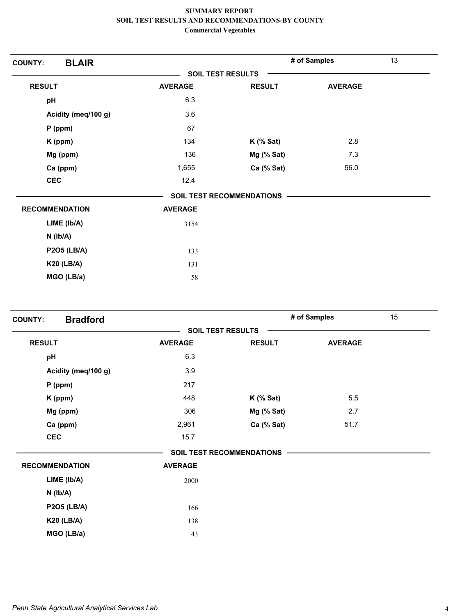| <b>BLAIR</b><br><b>COUNTY:</b> |                |                                  | # of Samples   | 13 |
|--------------------------------|----------------|----------------------------------|----------------|----|
|                                |                | <b>SOIL TEST RESULTS</b>         |                |    |
| <b>RESULT</b>                  | <b>AVERAGE</b> | <b>RESULT</b>                    | <b>AVERAGE</b> |    |
| pH                             | 6.3            |                                  |                |    |
| Acidity (meq/100 g)            | 3.6            |                                  |                |    |
| $P$ (ppm)                      | 67             |                                  |                |    |
| K (ppm)                        | 134            | $K$ (% Sat)                      | 2.8            |    |
| Mg (ppm)                       | 136            | Mg (% Sat)                       | 7.3            |    |
| Ca (ppm)                       | 1,655          | Ca (% Sat)                       | 56.0           |    |
| <b>CEC</b>                     | 12.4           |                                  |                |    |
|                                |                | <b>SOIL TEST RECOMMENDATIONS</b> |                |    |
| <b>RECOMMENDATION</b>          | <b>AVERAGE</b> |                                  |                |    |
| LIME (lb/A)                    | 3154           |                                  |                |    |
| $N$ ( $Ib/A$ )                 |                |                                  |                |    |
| <b>P2O5 (LB/A)</b>             | 133            |                                  |                |    |
| <b>K20 (LB/A)</b>              | 131            |                                  |                |    |
| MGO (LB/a)                     | 58             |                                  |                |    |
|                                |                |                                  |                |    |

| <b>Bradford</b><br><b>COUNTY:</b> |                |                                  | # of Samples   | 15 |
|-----------------------------------|----------------|----------------------------------|----------------|----|
|                                   |                | <b>SOIL TEST RESULTS</b>         |                |    |
| <b>RESULT</b>                     | <b>AVERAGE</b> | <b>RESULT</b>                    | <b>AVERAGE</b> |    |
| pH                                | 6.3            |                                  |                |    |
| Acidity (meq/100 g)               | 3.9            |                                  |                |    |
| $P$ (ppm)                         | 217            |                                  |                |    |
| K (ppm)                           | 448            | $K$ (% Sat)                      | 5.5            |    |
| Mg (ppm)                          | 306            | Mg (% Sat)                       | 2.7            |    |
| Ca (ppm)                          | 2,961          | Ca (% Sat)                       | 51.7           |    |
| <b>CEC</b>                        | 15.7           |                                  |                |    |
|                                   |                | <b>SOIL TEST RECOMMENDATIONS</b> |                |    |
| <b>RECOMMENDATION</b>             | <b>AVERAGE</b> |                                  |                |    |
| LIME (Ib/A)                       | 2000           |                                  |                |    |
| $N$ ( $Ib/A$ )                    |                |                                  |                |    |
| <b>P2O5 (LB/A)</b>                | 166            |                                  |                |    |
| <b>K20 (LB/A)</b>                 | 138            |                                  |                |    |
| MGO (LB/a)                        | 43             |                                  |                |    |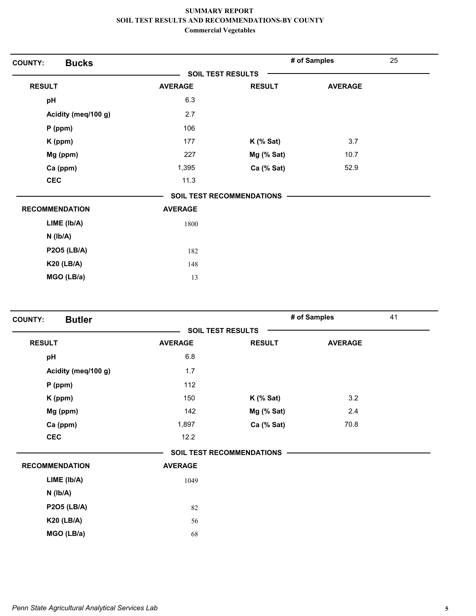| <b>Bucks</b><br><b>COUNTY:</b> |                          |                                  | # of Samples   | 25 |
|--------------------------------|--------------------------|----------------------------------|----------------|----|
|                                | <b>SOIL TEST RESULTS</b> |                                  |                |    |
| <b>RESULT</b>                  | <b>AVERAGE</b>           | <b>RESULT</b>                    | <b>AVERAGE</b> |    |
| pH                             | 6.3                      |                                  |                |    |
| Acidity (meq/100 g)            | 2.7                      |                                  |                |    |
| $P$ (ppm)                      | 106                      |                                  |                |    |
| K (ppm)                        | 177                      | $K$ (% Sat)                      | 3.7            |    |
| Mg (ppm)                       | 227                      | Mg (% Sat)                       | 10.7           |    |
| Ca (ppm)                       | 1,395                    | Ca (% Sat)                       | 52.9           |    |
| <b>CEC</b>                     | 11.3                     |                                  |                |    |
|                                |                          | <b>SOIL TEST RECOMMENDATIONS</b> |                |    |
| <b>RECOMMENDATION</b>          | <b>AVERAGE</b>           |                                  |                |    |
| LIME (Ib/A)                    | 1800                     |                                  |                |    |
| $N$ ( $Ib/A$ )                 |                          |                                  |                |    |
| <b>P2O5 (LB/A)</b>             | 182                      |                                  |                |    |
| <b>K20 (LB/A)</b>              | 148                      |                                  |                |    |
| MGO (LB/a)                     | 13                       |                                  |                |    |
|                                |                          |                                  |                |    |

| <b>Butler</b><br><b>COUNTY:</b> |                |                                  | # of Samples   | 41 |
|---------------------------------|----------------|----------------------------------|----------------|----|
|                                 |                | <b>SOIL TEST RESULTS</b>         |                |    |
| <b>RESULT</b>                   | <b>AVERAGE</b> | <b>RESULT</b>                    | <b>AVERAGE</b> |    |
| pH                              | 6.8            |                                  |                |    |
| Acidity (meq/100 g)             | 1.7            |                                  |                |    |
| $P$ (ppm)                       | 112            |                                  |                |    |
| K (ppm)                         | 150            | $K$ (% Sat)                      | 3.2            |    |
| Mg (ppm)                        | 142            | Mg (% Sat)                       | 2.4            |    |
| Ca (ppm)                        | 1,897          | Ca (% Sat)                       | 70.8           |    |
| <b>CEC</b>                      | 12.2           |                                  |                |    |
|                                 |                | <b>SOIL TEST RECOMMENDATIONS</b> |                |    |
| <b>RECOMMENDATION</b>           | <b>AVERAGE</b> |                                  |                |    |
| LIME (Ib/A)                     | 1049           |                                  |                |    |
| $N$ ( $Ib/A$ )                  |                |                                  |                |    |
| <b>P2O5 (LB/A)</b>              | 82             |                                  |                |    |
| <b>K20 (LB/A)</b>               | 56             |                                  |                |    |
| MGO (LB/a)                      | 68             |                                  |                |    |
|                                 |                |                                  |                |    |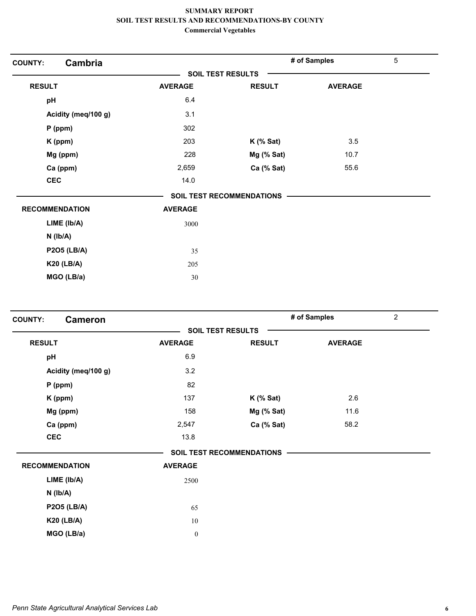| Cambria<br><b>COUNTY:</b> |                |                           | # of Samples   | $\overline{5}$ |
|---------------------------|----------------|---------------------------|----------------|----------------|
|                           |                | <b>SOIL TEST RESULTS</b>  |                |                |
| <b>RESULT</b>             | <b>AVERAGE</b> | <b>RESULT</b>             | <b>AVERAGE</b> |                |
| pH                        | 6.4            |                           |                |                |
| Acidity (meq/100 g)       | 3.1            |                           |                |                |
| $P$ (ppm)                 | 302            |                           |                |                |
| K (ppm)                   | 203            | $K$ (% Sat)               | 3.5            |                |
| Mg (ppm)                  | 228            | Mg (% Sat)                | 10.7           |                |
| Ca (ppm)                  | 2,659          | Ca (% Sat)                | 55.6           |                |
| <b>CEC</b>                | 14.0           |                           |                |                |
|                           |                | SOIL TEST RECOMMENDATIONS |                |                |
| <b>RECOMMENDATION</b>     | <b>AVERAGE</b> |                           |                |                |
| LIME (Ib/A)               | 3000           |                           |                |                |
| $N$ ( $lb/A$ )            |                |                           |                |                |
| <b>P2O5 (LB/A)</b>        | 35             |                           |                |                |
| <b>K20 (LB/A)</b>         | 205            |                           |                |                |
| MGO (LB/a)                | 30             |                           |                |                |

| <b>COUNTY:</b><br><b>Cameron</b> |                  |                                  | # of Samples   | $\overline{2}$ |
|----------------------------------|------------------|----------------------------------|----------------|----------------|
|                                  |                  | <b>SOIL TEST RESULTS</b>         |                |                |
| <b>RESULT</b>                    | <b>AVERAGE</b>   | <b>RESULT</b>                    | <b>AVERAGE</b> |                |
| pH                               | 6.9              |                                  |                |                |
| Acidity (meq/100 g)              | 3.2              |                                  |                |                |
| $P$ (ppm)                        | 82               |                                  |                |                |
| K (ppm)                          | 137              | $K$ (% Sat)                      | 2.6            |                |
| Mg (ppm)                         | 158              | Mg (% Sat)                       | 11.6           |                |
| Ca (ppm)                         | 2,547            | Ca (% Sat)                       | 58.2           |                |
| <b>CEC</b>                       | 13.8             |                                  |                |                |
|                                  |                  | <b>SOIL TEST RECOMMENDATIONS</b> |                |                |
| <b>RECOMMENDATION</b>            | <b>AVERAGE</b>   |                                  |                |                |
| LIME (Ib/A)                      | 2500             |                                  |                |                |
| $N$ ( $lb/A$ )                   |                  |                                  |                |                |
| <b>P2O5 (LB/A)</b>               | 65               |                                  |                |                |
| <b>K20 (LB/A)</b>                | $10\,$           |                                  |                |                |
| MGO (LB/a)                       | $\boldsymbol{0}$ |                                  |                |                |
|                                  |                  |                                  |                |                |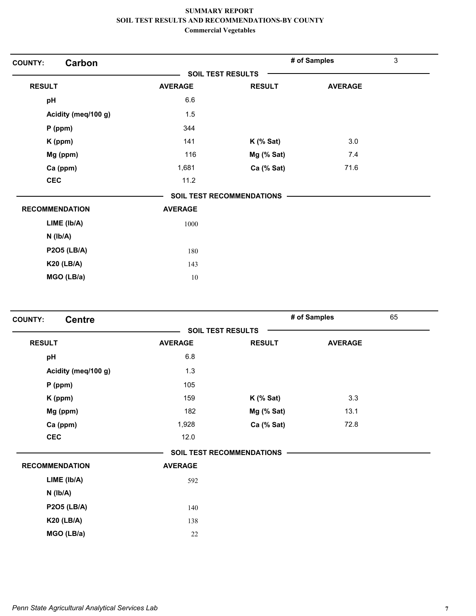| Carbon<br><b>COUNTY:</b> |                          |                                  | # of Samples   | 3 |
|--------------------------|--------------------------|----------------------------------|----------------|---|
|                          | <b>SOIL TEST RESULTS</b> |                                  |                |   |
| <b>RESULT</b>            | <b>AVERAGE</b>           | <b>RESULT</b>                    | <b>AVERAGE</b> |   |
| pH                       | 6.6                      |                                  |                |   |
| Acidity (meq/100 g)      | 1.5                      |                                  |                |   |
| $P$ (ppm)                | 344                      |                                  |                |   |
| K (ppm)                  | 141                      | $K$ (% Sat)                      | 3.0            |   |
| Mg (ppm)                 | 116                      | $Mg$ (% Sat)                     | 7.4            |   |
| Ca (ppm)                 | 1,681                    | Ca (% Sat)                       | 71.6           |   |
| <b>CEC</b>               | 11.2                     |                                  |                |   |
|                          |                          | <b>SOIL TEST RECOMMENDATIONS</b> |                |   |
| <b>RECOMMENDATION</b>    | <b>AVERAGE</b>           |                                  |                |   |
| LIME (lb/A)              | 1000                     |                                  |                |   |
| $N$ ( $lb/A$ )           |                          |                                  |                |   |
| <b>P2O5 (LB/A)</b>       | 180                      |                                  |                |   |
| <b>K20 (LB/A)</b>        | 143                      |                                  |                |   |
| MGO (LB/a)               | $10\,$                   |                                  |                |   |

| <b>Centre</b><br><b>COUNTY:</b> |                |                                  | # of Samples   | 65 |
|---------------------------------|----------------|----------------------------------|----------------|----|
|                                 |                | <b>SOIL TEST RESULTS</b>         |                |    |
| <b>RESULT</b>                   | <b>AVERAGE</b> | <b>RESULT</b>                    | <b>AVERAGE</b> |    |
| pH                              | 6.8            |                                  |                |    |
| Acidity (meq/100 g)             | 1.3            |                                  |                |    |
| $P$ (ppm)                       | 105            |                                  |                |    |
| K (ppm)                         | 159            | $K$ (% Sat)                      | 3.3            |    |
| Mg (ppm)                        | 182            | Mg (% Sat)                       | 13.1           |    |
| Ca (ppm)                        | 1,928          | Ca (% Sat)                       | 72.8           |    |
| <b>CEC</b>                      | 12.0           |                                  |                |    |
|                                 |                | <b>SOIL TEST RECOMMENDATIONS</b> |                |    |
| <b>RECOMMENDATION</b>           | <b>AVERAGE</b> |                                  |                |    |
| LIME (lb/A)                     | 592            |                                  |                |    |
| $N$ ( $lb/A$ )                  |                |                                  |                |    |
| <b>P2O5 (LB/A)</b>              | 140            |                                  |                |    |
| <b>K20 (LB/A)</b>               | 138            |                                  |                |    |
| MGO (LB/a)                      | 22             |                                  |                |    |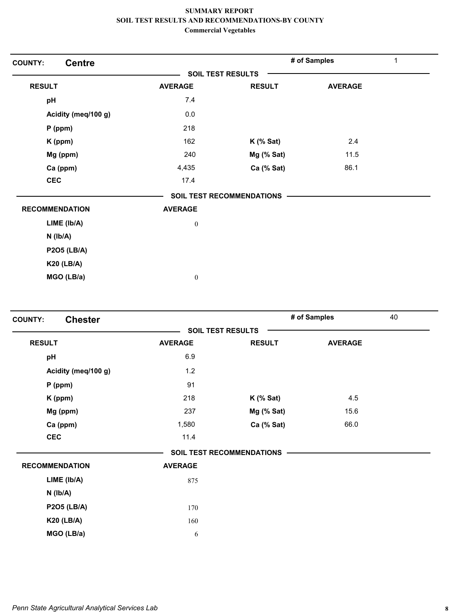| <b>Centre</b><br><b>COUNTY:</b> |                  |                                  | # of Samples   | $\mathbf{1}$ |
|---------------------------------|------------------|----------------------------------|----------------|--------------|
|                                 |                  | <b>SOIL TEST RESULTS</b>         |                |              |
| <b>RESULT</b>                   | <b>AVERAGE</b>   | <b>RESULT</b>                    | <b>AVERAGE</b> |              |
| pH                              | 7.4              |                                  |                |              |
| Acidity (meq/100 g)             | 0.0              |                                  |                |              |
| $P$ (ppm)                       | 218              |                                  |                |              |
| $K$ (ppm)                       | 162              | $K$ (% Sat)                      | 2.4            |              |
| Mg (ppm)                        | 240              | Mg (% Sat)                       | 11.5           |              |
| Ca (ppm)                        | 4,435            | Ca (% Sat)                       | 86.1           |              |
| <b>CEC</b>                      | 17.4             |                                  |                |              |
|                                 |                  | <b>SOIL TEST RECOMMENDATIONS</b> |                |              |
| <b>RECOMMENDATION</b>           | <b>AVERAGE</b>   |                                  |                |              |
| LIME (lb/A)                     | $\boldsymbol{0}$ |                                  |                |              |
| $N$ ( $Ib/A$ )                  |                  |                                  |                |              |
| <b>P2O5 (LB/A)</b>              |                  |                                  |                |              |
| <b>K20 (LB/A)</b>               |                  |                                  |                |              |
| MGO (LB/a)                      | $\boldsymbol{0}$ |                                  |                |              |

| <b>Chester</b><br><b>COUNTY:</b> |                |                                  | # of Samples   | 40 |
|----------------------------------|----------------|----------------------------------|----------------|----|
|                                  |                | <b>SOIL TEST RESULTS</b>         |                |    |
| <b>RESULT</b>                    | <b>AVERAGE</b> | <b>RESULT</b>                    | <b>AVERAGE</b> |    |
| pH                               | 6.9            |                                  |                |    |
| Acidity (meq/100 g)              | 1.2            |                                  |                |    |
| $P$ (ppm)                        | 91             |                                  |                |    |
| K (ppm)                          | 218            | $K$ (% Sat)                      | 4.5            |    |
| Mg (ppm)                         | 237            | Mg (% Sat)                       | 15.6           |    |
| Ca (ppm)                         | 1,580          | Ca (% Sat)                       | 66.0           |    |
| <b>CEC</b>                       | 11.4           |                                  |                |    |
|                                  |                | <b>SOIL TEST RECOMMENDATIONS</b> |                |    |
| <b>RECOMMENDATION</b>            | <b>AVERAGE</b> |                                  |                |    |
| LIME (Ib/A)                      | 875            |                                  |                |    |
| $N$ ( $Ib/A$ )                   |                |                                  |                |    |
| <b>P2O5 (LB/A)</b>               | 170            |                                  |                |    |
| <b>K20 (LB/A)</b>                | 160            |                                  |                |    |
| MGO (LB/a)                       | 6              |                                  |                |    |
|                                  |                |                                  |                |    |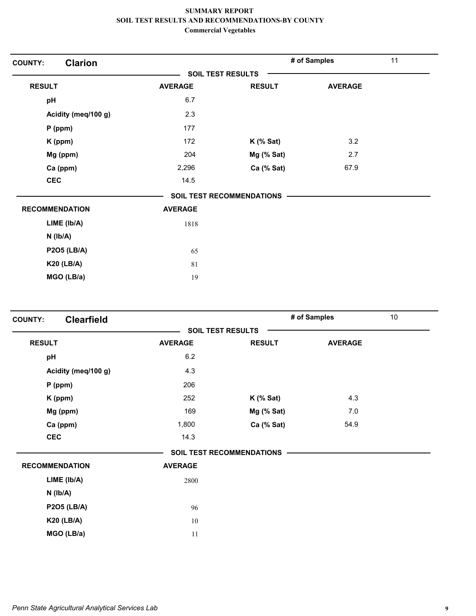| <b>Clarion</b><br><b>COUNTY:</b> |                |                                  | # of Samples   | 11 |
|----------------------------------|----------------|----------------------------------|----------------|----|
|                                  |                | <b>SOIL TEST RESULTS</b>         |                |    |
| <b>RESULT</b>                    | <b>AVERAGE</b> | <b>RESULT</b>                    | <b>AVERAGE</b> |    |
| pH                               | 6.7            |                                  |                |    |
| Acidity (meq/100 g)              | 2.3            |                                  |                |    |
| P (ppm)                          | 177            |                                  |                |    |
| K (ppm)                          | 172            | $K$ (% Sat)                      | 3.2            |    |
| Mg (ppm)                         | 204            | Mg (% Sat)                       | 2.7            |    |
| Ca (ppm)                         | 2,296          | Ca (% Sat)                       | 67.9           |    |
| <b>CEC</b>                       | 14.5           |                                  |                |    |
|                                  |                | <b>SOIL TEST RECOMMENDATIONS</b> |                |    |
| <b>RECOMMENDATION</b>            | <b>AVERAGE</b> |                                  |                |    |
| LIME (Ib/A)                      | 1818           |                                  |                |    |
| $N$ ( $lb/A$ )                   |                |                                  |                |    |
| <b>P2O5 (LB/A)</b>               | 65             |                                  |                |    |
| <b>K20 (LB/A)</b>                | 81             |                                  |                |    |
| MGO (LB/a)                       | 19             |                                  |                |    |
|                                  |                |                                  |                |    |

| <b>Clearfield</b><br><b>COUNTY:</b> |                |                                  | # of Samples   | 10 |
|-------------------------------------|----------------|----------------------------------|----------------|----|
|                                     |                | <b>SOIL TEST RESULTS</b>         |                |    |
| <b>RESULT</b>                       | <b>AVERAGE</b> | <b>RESULT</b>                    | <b>AVERAGE</b> |    |
| pH                                  | 6.2            |                                  |                |    |
| Acidity (meq/100 g)                 | 4.3            |                                  |                |    |
| $P$ (ppm)                           | 206            |                                  |                |    |
| K (ppm)                             | 252            | $K$ (% Sat)                      | 4.3            |    |
| Mg (ppm)                            | 169            | Mg (% Sat)                       | 7.0            |    |
| Ca (ppm)                            | 1,800          | Ca (% Sat)                       | 54.9           |    |
| <b>CEC</b>                          | 14.3           |                                  |                |    |
|                                     |                | <b>SOIL TEST RECOMMENDATIONS</b> |                |    |
| <b>RECOMMENDATION</b>               | <b>AVERAGE</b> |                                  |                |    |
| LIME (Ib/A)                         | 2800           |                                  |                |    |
| $N$ ( $lb/A$ )                      |                |                                  |                |    |
| <b>P2O5 (LB/A)</b>                  | 96             |                                  |                |    |
| <b>K20 (LB/A)</b>                   | 10             |                                  |                |    |
| MGO (LB/a)                          | 11             |                                  |                |    |
|                                     |                |                                  |                |    |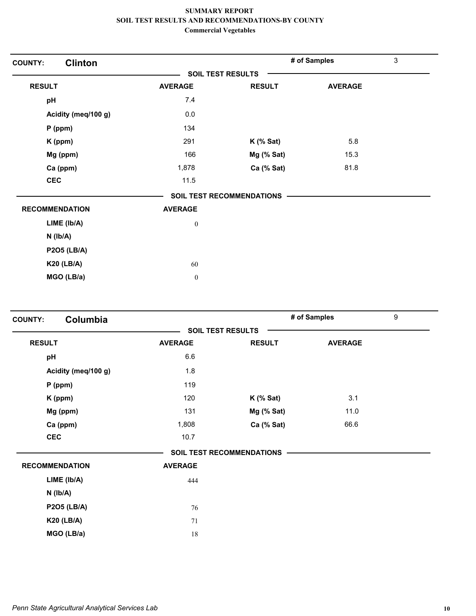| <b>Clinton</b><br><b>COUNTY:</b> |                  |                                  | # of Samples   | 3 |
|----------------------------------|------------------|----------------------------------|----------------|---|
|                                  |                  | <b>SOIL TEST RESULTS</b>         |                |   |
| <b>RESULT</b>                    | <b>AVERAGE</b>   | <b>RESULT</b>                    | <b>AVERAGE</b> |   |
| pH                               | 7.4              |                                  |                |   |
| Acidity (meq/100 g)              | 0.0              |                                  |                |   |
| $P$ (ppm)                        | 134              |                                  |                |   |
| K (ppm)                          | 291              | $K$ (% Sat)                      | 5.8            |   |
| Mg (ppm)                         | 166              | Mg (% Sat)                       | 15.3           |   |
| Ca (ppm)                         | 1,878            | Ca (% Sat)                       | 81.8           |   |
| <b>CEC</b>                       | 11.5             |                                  |                |   |
|                                  |                  | <b>SOIL TEST RECOMMENDATIONS</b> |                |   |
| <b>RECOMMENDATION</b>            | <b>AVERAGE</b>   |                                  |                |   |
| LIME (Ib/A)                      | $\boldsymbol{0}$ |                                  |                |   |
| $N$ ( $lb/A$ )                   |                  |                                  |                |   |
| <b>P2O5 (LB/A)</b>               |                  |                                  |                |   |
| <b>K20 (LB/A)</b>                | 60               |                                  |                |   |
| MGO (LB/a)                       | $\boldsymbol{0}$ |                                  |                |   |

| <b>COUNTY:</b> | Columbia              |                |                           | # of Samples   | 9 |
|----------------|-----------------------|----------------|---------------------------|----------------|---|
|                |                       |                | <b>SOIL TEST RESULTS</b>  |                |   |
| <b>RESULT</b>  |                       | <b>AVERAGE</b> | <b>RESULT</b>             | <b>AVERAGE</b> |   |
| pH             |                       | 6.6            |                           |                |   |
|                | Acidity (meq/100 g)   | 1.8            |                           |                |   |
|                | $P$ (ppm)             | 119            |                           |                |   |
|                | K (ppm)               | 120            | <b>K</b> (% Sat)          | 3.1            |   |
|                | Mg (ppm)              | 131            | Mg (% Sat)                | 11.0           |   |
|                | Ca (ppm)              | 1,808          | Ca (% Sat)                | 66.6           |   |
|                | <b>CEC</b>            | 10.7           |                           |                |   |
|                |                       |                | SOIL TEST RECOMMENDATIONS |                |   |
|                | <b>RECOMMENDATION</b> | <b>AVERAGE</b> |                           |                |   |
|                | LIME (Ib/A)           | 444            |                           |                |   |
|                | $N$ ( $lb/A$ )        |                |                           |                |   |
|                | <b>P2O5 (LB/A)</b>    | 76             |                           |                |   |
|                | <b>K20 (LB/A)</b>     | 71             |                           |                |   |
|                | MGO (LB/a)            | 18             |                           |                |   |
|                |                       |                |                           |                |   |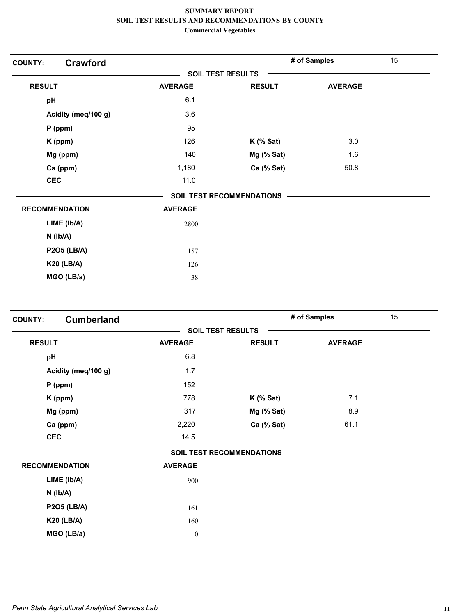| <b>Crawford</b><br><b>COUNTY:</b> |                |                                  | # of Samples   | 15 |
|-----------------------------------|----------------|----------------------------------|----------------|----|
|                                   |                | <b>SOIL TEST RESULTS</b>         |                |    |
| <b>RESULT</b>                     | <b>AVERAGE</b> | <b>RESULT</b>                    | <b>AVERAGE</b> |    |
| pH                                | 6.1            |                                  |                |    |
| Acidity (meq/100 g)               | 3.6            |                                  |                |    |
| $P$ (ppm)                         | 95             |                                  |                |    |
| K (ppm)                           | 126            | $K$ (% Sat)                      | 3.0            |    |
| Mg (ppm)                          | 140            | Mg (% Sat)                       | 1.6            |    |
| Ca (ppm)                          | 1,180          | Ca (% Sat)                       | 50.8           |    |
| <b>CEC</b>                        | 11.0           |                                  |                |    |
|                                   |                | <b>SOIL TEST RECOMMENDATIONS</b> |                |    |
| <b>RECOMMENDATION</b>             | <b>AVERAGE</b> |                                  |                |    |
| LIME (lb/A)                       | 2800           |                                  |                |    |
| $N$ ( $Ib/A$ )                    |                |                                  |                |    |
| <b>P2O5 (LB/A)</b>                | 157            |                                  |                |    |
| <b>K20 (LB/A)</b>                 | 126            |                                  |                |    |
| MGO (LB/a)                        | 38             |                                  |                |    |

| <b>Cumberland</b><br><b>SOIL TEST RESULTS</b><br><b>RESULT</b><br><b>RESULT</b><br><b>AVERAGE</b> | <b>AVERAGE</b> |
|---------------------------------------------------------------------------------------------------|----------------|
|                                                                                                   |                |
|                                                                                                   |                |
| 6.8<br>pH                                                                                         |                |
| Acidity (meq/100 g)<br>1.7                                                                        |                |
| 152<br>$P$ (ppm)                                                                                  |                |
| 778<br>K (ppm)<br>$K$ (% Sat)                                                                     | 7.1            |
| Mg (% Sat)<br>Mg (ppm)<br>317                                                                     | 8.9            |
| Ca (% Sat)<br>Ca (ppm)<br>2,220                                                                   | 61.1           |
| <b>CEC</b><br>14.5                                                                                |                |
| <b>SOIL TEST RECOMMENDATIONS</b>                                                                  |                |
| <b>RECOMMENDATION</b><br><b>AVERAGE</b>                                                           |                |
| LIME (lb/A)<br>900                                                                                |                |
| $N$ ( $lb/A$ )                                                                                    |                |
| <b>P2O5 (LB/A)</b><br>161                                                                         |                |
| <b>K20 (LB/A)</b><br>160                                                                          |                |
| MGO (LB/a)<br>$\boldsymbol{0}$                                                                    |                |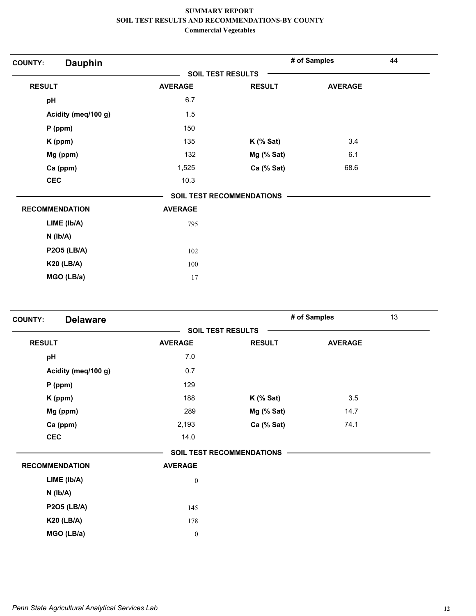| <b>Dauphin</b><br><b>COUNTY:</b> |                          |                           | # of Samples   | 44 |
|----------------------------------|--------------------------|---------------------------|----------------|----|
|                                  | <b>SOIL TEST RESULTS</b> |                           |                |    |
| <b>RESULT</b>                    | <b>AVERAGE</b>           | <b>RESULT</b>             | <b>AVERAGE</b> |    |
| pH                               | 6.7                      |                           |                |    |
| Acidity (meq/100 g)              | 1.5                      |                           |                |    |
| $P$ (ppm)                        | 150                      |                           |                |    |
| K (ppm)                          | 135                      | $K$ (% Sat)               | 3.4            |    |
| Mg (ppm)                         | 132                      | Mg (% Sat)                | 6.1            |    |
| Ca (ppm)                         | 1,525                    | Ca (% Sat)                | 68.6           |    |
| <b>CEC</b>                       | 10.3                     |                           |                |    |
|                                  |                          | SOIL TEST RECOMMENDATIONS |                |    |
| <b>RECOMMENDATION</b>            | <b>AVERAGE</b>           |                           |                |    |
| LIME (lb/A)                      | 795                      |                           |                |    |
| $N$ ( $lb/A$ )                   |                          |                           |                |    |
| <b>P2O5 (LB/A)</b>               | 102                      |                           |                |    |
| <b>K20 (LB/A)</b>                | 100                      |                           |                |    |
| MGO (LB/a)                       | 17                       |                           |                |    |

| <b>Delaware</b><br><b>COUNTY:</b> |                  |                                  | # of Samples   | 13 |
|-----------------------------------|------------------|----------------------------------|----------------|----|
|                                   |                  | <b>SOIL TEST RESULTS</b>         |                |    |
| <b>RESULT</b>                     | <b>AVERAGE</b>   | <b>RESULT</b>                    | <b>AVERAGE</b> |    |
| pH                                | 7.0              |                                  |                |    |
| Acidity (meq/100 g)               | 0.7              |                                  |                |    |
| $P$ (ppm)                         | 129              |                                  |                |    |
| K (ppm)                           | 188              | $K$ (% Sat)                      | 3.5            |    |
| Mg (ppm)                          | 289              | Mg (% Sat)                       | 14.7           |    |
| Ca (ppm)                          | 2,193            | Ca (% Sat)                       | 74.1           |    |
| <b>CEC</b>                        | 14.0             |                                  |                |    |
|                                   |                  | <b>SOIL TEST RECOMMENDATIONS</b> |                |    |
| <b>RECOMMENDATION</b>             | <b>AVERAGE</b>   |                                  |                |    |
| LIME (Ib/A)                       | $\boldsymbol{0}$ |                                  |                |    |
| $N$ ( $Ib/A$ )                    |                  |                                  |                |    |
| <b>P2O5 (LB/A)</b>                | 145              |                                  |                |    |
| <b>K20 (LB/A)</b>                 | 178              |                                  |                |    |
| MGO (LB/a)                        | $\boldsymbol{0}$ |                                  |                |    |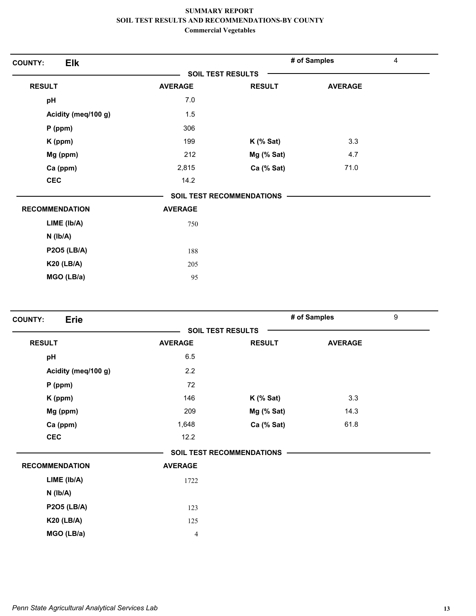| Elk<br><b>COUNTY:</b> |                |                                  | # of Samples   | $\overline{4}$ |
|-----------------------|----------------|----------------------------------|----------------|----------------|
|                       |                | <b>SOIL TEST RESULTS</b>         |                |                |
| <b>RESULT</b>         | <b>AVERAGE</b> | <b>RESULT</b>                    | <b>AVERAGE</b> |                |
| pH                    | 7.0            |                                  |                |                |
| Acidity (meq/100 g)   | 1.5            |                                  |                |                |
| $P$ (ppm)             | 306            |                                  |                |                |
| K (ppm)               | 199            | $K$ (% Sat)                      | 3.3            |                |
| Mg (ppm)              | 212            | Mg (% Sat)                       | 4.7            |                |
| Ca (ppm)              | 2,815          | Ca (% Sat)                       | 71.0           |                |
| <b>CEC</b>            | 14.2           |                                  |                |                |
|                       |                | <b>SOIL TEST RECOMMENDATIONS</b> |                |                |
| <b>RECOMMENDATION</b> | <b>AVERAGE</b> |                                  |                |                |
| LIME (Ib/A)           | 750            |                                  |                |                |
| $N$ ( $lb/A$ )        |                |                                  |                |                |
| <b>P2O5 (LB/A)</b>    | 188            |                                  |                |                |
| <b>K20 (LB/A)</b>     | 205            |                                  |                |                |
| MGO (LB/a)            | 95             |                                  |                |                |

| <b>Erie</b><br><b>COUNTY:</b> |                |                           | # of Samples   | 9 |
|-------------------------------|----------------|---------------------------|----------------|---|
|                               |                | <b>SOIL TEST RESULTS</b>  |                |   |
| <b>RESULT</b>                 | <b>AVERAGE</b> | <b>RESULT</b>             | <b>AVERAGE</b> |   |
| pH                            | 6.5            |                           |                |   |
| Acidity (meq/100 g)           | 2.2            |                           |                |   |
| $P$ (ppm)                     | 72             |                           |                |   |
| K (ppm)                       | 146            | $K$ (% Sat)               | 3.3            |   |
| Mg (ppm)                      | 209            | Mg (% Sat)                | 14.3           |   |
| Ca (ppm)                      | 1,648          | Ca (% Sat)                | 61.8           |   |
| <b>CEC</b>                    | 12.2           |                           |                |   |
|                               |                | SOIL TEST RECOMMENDATIONS |                |   |
| <b>RECOMMENDATION</b>         | <b>AVERAGE</b> |                           |                |   |
| LIME (lb/A)                   | 1722           |                           |                |   |
| $N$ ( $Ib/A$ )                |                |                           |                |   |
| <b>P2O5 (LB/A)</b>            | 123            |                           |                |   |
| <b>K20 (LB/A)</b>             | 125            |                           |                |   |
| MGO (LB/a)                    | 4              |                           |                |   |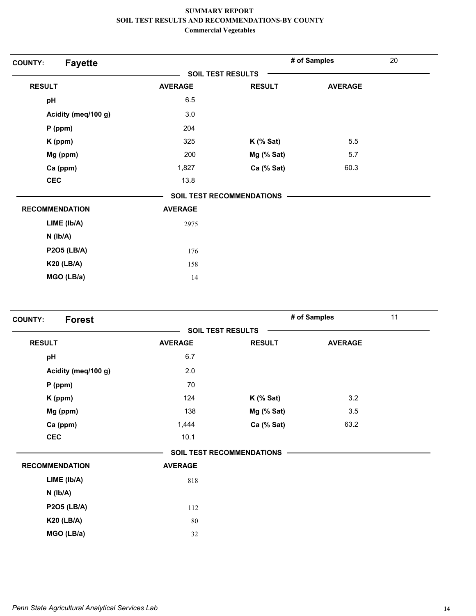| <b>Fayette</b><br><b>COUNTY:</b> |                          |                                  | # of Samples   | 20 |
|----------------------------------|--------------------------|----------------------------------|----------------|----|
|                                  | <b>SOIL TEST RESULTS</b> |                                  |                |    |
| <b>RESULT</b>                    | <b>AVERAGE</b>           | <b>RESULT</b>                    | <b>AVERAGE</b> |    |
| pH                               | 6.5                      |                                  |                |    |
| Acidity (meq/100 g)              | 3.0                      |                                  |                |    |
| $P$ (ppm)                        | 204                      |                                  |                |    |
| K (ppm)                          | 325                      | $K$ (% Sat)                      | 5.5            |    |
| Mg (ppm)                         | 200                      | Mg (% Sat)                       | 5.7            |    |
| Ca (ppm)                         | 1,827                    | Ca (% Sat)                       | 60.3           |    |
| <b>CEC</b>                       | 13.8                     |                                  |                |    |
|                                  |                          | <b>SOIL TEST RECOMMENDATIONS</b> |                |    |
| <b>RECOMMENDATION</b>            | <b>AVERAGE</b>           |                                  |                |    |
| LIME (Ib/A)                      | 2975                     |                                  |                |    |
| $N$ ( $Ib/A$ )                   |                          |                                  |                |    |
| <b>P2O5 (LB/A)</b>               | 176                      |                                  |                |    |
| <b>K20 (LB/A)</b>                | 158                      |                                  |                |    |
| MGO (LB/a)                       | 14                       |                                  |                |    |
|                                  |                          |                                  |                |    |

| <b>Forest</b><br><b>COUNTY:</b> |                |                                  | # of Samples   | 11 |
|---------------------------------|----------------|----------------------------------|----------------|----|
|                                 |                | <b>SOIL TEST RESULTS</b>         |                |    |
| <b>RESULT</b>                   | <b>AVERAGE</b> | <b>RESULT</b>                    | <b>AVERAGE</b> |    |
| pH                              | 6.7            |                                  |                |    |
| Acidity (meq/100 g)             | 2.0            |                                  |                |    |
| $P$ (ppm)                       | 70             |                                  |                |    |
| K (ppm)                         | 124            | $K$ (% Sat)                      | 3.2            |    |
| Mg (ppm)                        | 138            | Mg (% Sat)                       | 3.5            |    |
| Ca (ppm)                        | 1,444          | Ca (% Sat)                       | 63.2           |    |
| <b>CEC</b>                      | 10.1           |                                  |                |    |
|                                 |                | <b>SOIL TEST RECOMMENDATIONS</b> |                |    |
| <b>RECOMMENDATION</b>           | <b>AVERAGE</b> |                                  |                |    |
| LIME (lb/A)                     | 818            |                                  |                |    |
| $N$ ( $lb/A$ )                  |                |                                  |                |    |
| <b>P2O5 (LB/A)</b>              | 112            |                                  |                |    |
| <b>K20 (LB/A)</b>               | 80             |                                  |                |    |
| MGO (LB/a)                      | 32             |                                  |                |    |
|                                 |                |                                  |                |    |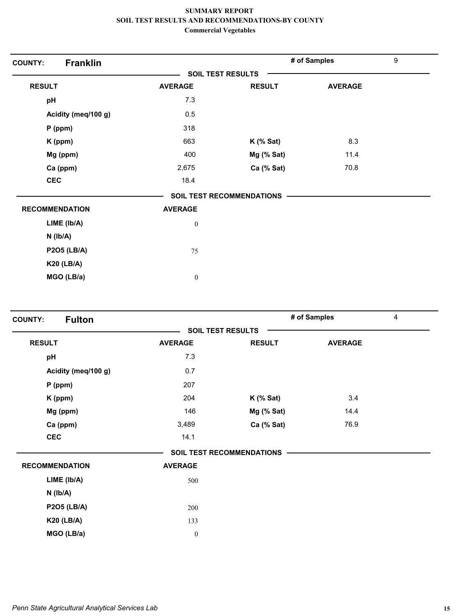| <b>Franklin</b><br><b>COUNTY:</b> |                          |                                  | # of Samples   | 9 |
|-----------------------------------|--------------------------|----------------------------------|----------------|---|
|                                   | <b>SOIL TEST RESULTS</b> |                                  |                |   |
| <b>RESULT</b>                     | <b>AVERAGE</b>           | <b>RESULT</b>                    | <b>AVERAGE</b> |   |
| pH                                | 7.3                      |                                  |                |   |
| Acidity (meq/100 g)               | 0.5                      |                                  |                |   |
| $P$ (ppm)                         | 318                      |                                  |                |   |
| K (ppm)                           | 663                      | $K$ (% Sat)                      | 8.3            |   |
| Mg (ppm)                          | 400                      | Mg (% Sat)                       | 11.4           |   |
| Ca (ppm)                          | 2,675                    | Ca (% Sat)                       | 70.8           |   |
| <b>CEC</b>                        | 18.4                     |                                  |                |   |
|                                   |                          | <b>SOIL TEST RECOMMENDATIONS</b> |                |   |
| <b>RECOMMENDATION</b>             | <b>AVERAGE</b>           |                                  |                |   |
| LIME (Ib/A)                       | $\boldsymbol{0}$         |                                  |                |   |
| $N$ ( $Ib/A$ )                    |                          |                                  |                |   |
| <b>P2O5 (LB/A)</b>                | 75                       |                                  |                |   |
| <b>K20 (LB/A)</b>                 |                          |                                  |                |   |
| MGO (LB/a)                        | $\boldsymbol{0}$         |                                  |                |   |

| <b>Fulton</b><br><b>COUNTY:</b> |                  |                                  | # of Samples   | $\overline{4}$ |
|---------------------------------|------------------|----------------------------------|----------------|----------------|
|                                 |                  | <b>SOIL TEST RESULTS</b>         |                |                |
| <b>RESULT</b>                   | <b>AVERAGE</b>   | <b>RESULT</b>                    | <b>AVERAGE</b> |                |
| pH                              | 7.3              |                                  |                |                |
| Acidity (meq/100 g)             | 0.7              |                                  |                |                |
| $P$ (ppm)                       | 207              |                                  |                |                |
| K (ppm)                         | 204              | $K$ (% Sat)                      | 3.4            |                |
| Mg (ppm)                        | 146              | Mg (% Sat)                       | 14.4           |                |
| Ca (ppm)                        | 3,489            | Ca (% Sat)                       | 76.9           |                |
| <b>CEC</b>                      | 14.1             |                                  |                |                |
|                                 |                  | <b>SOIL TEST RECOMMENDATIONS</b> |                |                |
| <b>RECOMMENDATION</b>           | <b>AVERAGE</b>   |                                  |                |                |
| LIME (Ib/A)                     | 500              |                                  |                |                |
| $N$ ( $Ib/A$ )                  |                  |                                  |                |                |
| <b>P2O5 (LB/A)</b>              | 200              |                                  |                |                |
| <b>K20 (LB/A)</b>               | 133              |                                  |                |                |
| MGO (LB/a)                      | $\boldsymbol{0}$ |                                  |                |                |
|                                 |                  |                                  |                |                |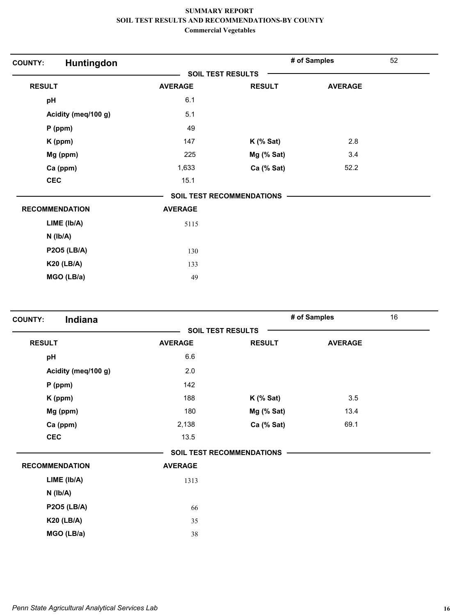| Huntingdon<br><b>COUNTY:</b> |                |                                  | # of Samples   | 52 |
|------------------------------|----------------|----------------------------------|----------------|----|
|                              |                | <b>SOIL TEST RESULTS</b>         |                |    |
| <b>RESULT</b>                | <b>AVERAGE</b> | <b>RESULT</b>                    | <b>AVERAGE</b> |    |
| pH                           | 6.1            |                                  |                |    |
| Acidity (meq/100 g)          | 5.1            |                                  |                |    |
| $P$ (ppm)                    | 49             |                                  |                |    |
| K (ppm)                      | 147            | $K$ (% Sat)                      | 2.8            |    |
| Mg (ppm)                     | 225            | Mg (% Sat)                       | 3.4            |    |
| Ca (ppm)                     | 1,633          | Ca (% Sat)                       | 52.2           |    |
| <b>CEC</b>                   | 15.1           |                                  |                |    |
|                              |                | <b>SOIL TEST RECOMMENDATIONS</b> |                |    |
| <b>RECOMMENDATION</b>        | <b>AVERAGE</b> |                                  |                |    |
| LIME (Ib/A)                  | 5115           |                                  |                |    |
| $N$ ( $Ib/A$ )               |                |                                  |                |    |
| <b>P2O5 (LB/A)</b>           | 130            |                                  |                |    |
| <b>K20 (LB/A)</b>            | 133            |                                  |                |    |
| MGO (LB/a)                   | 49             |                                  |                |    |
|                              |                |                                  |                |    |

| <b>SOIL TEST RESULTS</b><br><b>RESULT</b><br><b>AVERAGE</b><br><b>RESULT</b><br><b>AVERAGE</b><br>pH<br>6.6<br>Acidity (meq/100 g)<br>2.0<br>142<br>$P$ (ppm)<br>188<br>3.5<br>$K$ (% Sat)<br>K (ppm)<br>13.4<br>Mg (ppm)<br>180<br>Mg (% Sat)<br>2,138<br>Ca (% Sat)<br>69.1<br>Ca (ppm)<br><b>CEC</b><br>13.5<br><b>SOIL TEST RECOMMENDATIONS</b><br><b>RECOMMENDATION</b><br><b>AVERAGE</b><br>LIME (Ib/A)<br>1313<br>$N$ ( $lb/A$ )<br><b>P2O5 (LB/A)</b><br>66<br><b>K20 (LB/A)</b><br>35 | Indiana<br><b>COUNTY:</b> |  | # of Samples | 16 |
|------------------------------------------------------------------------------------------------------------------------------------------------------------------------------------------------------------------------------------------------------------------------------------------------------------------------------------------------------------------------------------------------------------------------------------------------------------------------------------------------|---------------------------|--|--------------|----|
|                                                                                                                                                                                                                                                                                                                                                                                                                                                                                                |                           |  |              |    |
|                                                                                                                                                                                                                                                                                                                                                                                                                                                                                                |                           |  |              |    |
|                                                                                                                                                                                                                                                                                                                                                                                                                                                                                                |                           |  |              |    |
|                                                                                                                                                                                                                                                                                                                                                                                                                                                                                                |                           |  |              |    |
|                                                                                                                                                                                                                                                                                                                                                                                                                                                                                                |                           |  |              |    |
|                                                                                                                                                                                                                                                                                                                                                                                                                                                                                                |                           |  |              |    |
|                                                                                                                                                                                                                                                                                                                                                                                                                                                                                                |                           |  |              |    |
|                                                                                                                                                                                                                                                                                                                                                                                                                                                                                                |                           |  |              |    |
|                                                                                                                                                                                                                                                                                                                                                                                                                                                                                                |                           |  |              |    |
|                                                                                                                                                                                                                                                                                                                                                                                                                                                                                                |                           |  |              |    |
|                                                                                                                                                                                                                                                                                                                                                                                                                                                                                                |                           |  |              |    |
|                                                                                                                                                                                                                                                                                                                                                                                                                                                                                                |                           |  |              |    |
|                                                                                                                                                                                                                                                                                                                                                                                                                                                                                                |                           |  |              |    |
|                                                                                                                                                                                                                                                                                                                                                                                                                                                                                                |                           |  |              |    |
|                                                                                                                                                                                                                                                                                                                                                                                                                                                                                                |                           |  |              |    |
| MGO (LB/a)<br>38                                                                                                                                                                                                                                                                                                                                                                                                                                                                               |                           |  |              |    |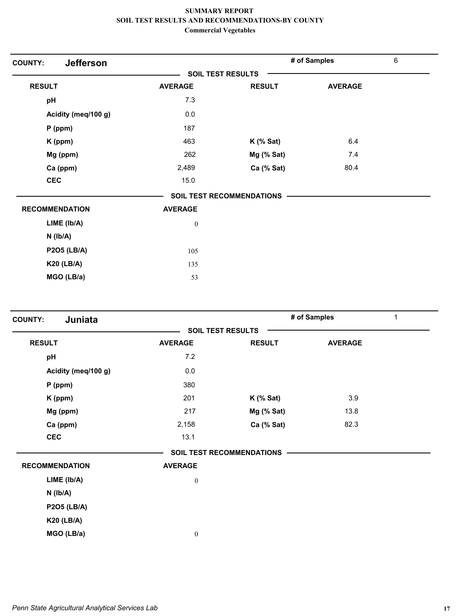| <b>Jefferson</b><br><b>COUNTY:</b> |                          |                                  | # of Samples   | 6 |  |
|------------------------------------|--------------------------|----------------------------------|----------------|---|--|
|                                    | <b>SOIL TEST RESULTS</b> |                                  |                |   |  |
| <b>RESULT</b>                      | <b>AVERAGE</b>           | <b>RESULT</b>                    | <b>AVERAGE</b> |   |  |
| pH                                 | 7.3                      |                                  |                |   |  |
| Acidity (meq/100 g)                | $0.0\,$                  |                                  |                |   |  |
| $P$ (ppm)                          | 187                      |                                  |                |   |  |
| K (ppm)                            | 463                      | $K$ (% Sat)                      | 6.4            |   |  |
| Mg (ppm)                           | 262                      | Mg (% Sat)                       | 7.4            |   |  |
| Ca (ppm)                           | 2,489                    | Ca (% Sat)                       | 80.4           |   |  |
| <b>CEC</b>                         | 15.0                     |                                  |                |   |  |
|                                    |                          | <b>SOIL TEST RECOMMENDATIONS</b> |                |   |  |
| <b>RECOMMENDATION</b>              | <b>AVERAGE</b>           |                                  |                |   |  |
| LIME (lb/A)                        | $\boldsymbol{0}$         |                                  |                |   |  |
| $N$ ( $Ib/A$ )                     |                          |                                  |                |   |  |
| <b>P2O5 (LB/A)</b>                 | 105                      |                                  |                |   |  |
| <b>K20 (LB/A)</b>                  | 135                      |                                  |                |   |  |
| MGO (LB/a)                         | 53                       |                                  |                |   |  |

| Juniata<br><b>COUNTY:</b> |                  |                                  | # of Samples   | 1 |  |
|---------------------------|------------------|----------------------------------|----------------|---|--|
|                           |                  | <b>SOIL TEST RESULTS</b>         |                |   |  |
| <b>RESULT</b>             | <b>AVERAGE</b>   | <b>RESULT</b>                    | <b>AVERAGE</b> |   |  |
| pH                        | 7.2              |                                  |                |   |  |
| Acidity (meq/100 g)       | $0.0\,$          |                                  |                |   |  |
| $P$ (ppm)                 | 380              |                                  |                |   |  |
| K (ppm)                   | 201              | $K$ (% Sat)                      | 3.9            |   |  |
| Mg (ppm)                  | 217              | Mg (% Sat)                       | 13.8           |   |  |
| Ca (ppm)                  | 2,158            | Ca (% Sat)                       | 82.3           |   |  |
| <b>CEC</b>                | 13.1             |                                  |                |   |  |
|                           |                  | <b>SOIL TEST RECOMMENDATIONS</b> |                |   |  |
| <b>RECOMMENDATION</b>     | <b>AVERAGE</b>   |                                  |                |   |  |
| LIME (Ib/A)               | $\boldsymbol{0}$ |                                  |                |   |  |
| $N$ ( $lb/A$ )            |                  |                                  |                |   |  |
| <b>P2O5 (LB/A)</b>        |                  |                                  |                |   |  |
| <b>K20 (LB/A)</b>         |                  |                                  |                |   |  |
| MGO (LB/a)                | $\boldsymbol{0}$ |                                  |                |   |  |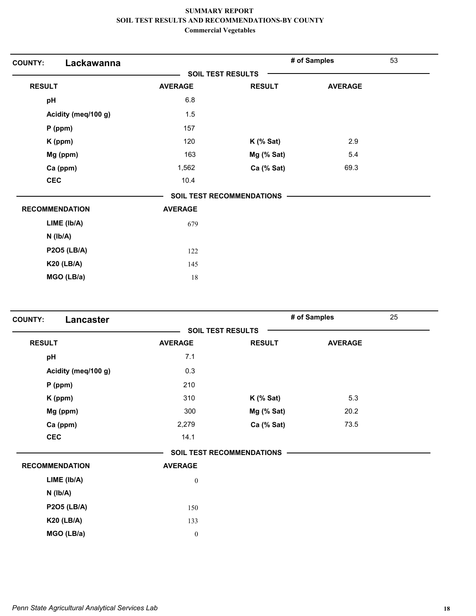| Lackawanna<br><b>COUNTY:</b> |                          |                                  | # of Samples   | 53 |
|------------------------------|--------------------------|----------------------------------|----------------|----|
|                              | <b>SOIL TEST RESULTS</b> |                                  |                |    |
| <b>RESULT</b>                | <b>AVERAGE</b>           | <b>RESULT</b>                    | <b>AVERAGE</b> |    |
| pH                           | 6.8                      |                                  |                |    |
| Acidity (meq/100 g)          | 1.5                      |                                  |                |    |
| $P$ (ppm)                    | 157                      |                                  |                |    |
| K (ppm)                      | 120                      | $K$ (% Sat)                      | 2.9            |    |
| Mg (ppm)                     | 163                      | Mg (% Sat)                       | 5.4            |    |
| Ca (ppm)                     | 1,562                    | Ca (% Sat)                       | 69.3           |    |
| <b>CEC</b>                   | 10.4                     |                                  |                |    |
|                              |                          | <b>SOIL TEST RECOMMENDATIONS</b> |                |    |
| <b>RECOMMENDATION</b>        | <b>AVERAGE</b>           |                                  |                |    |
| LIME (Ib/A)                  | 679                      |                                  |                |    |
| $N$ ( $Ib/A$ )               |                          |                                  |                |    |
| <b>P2O5 (LB/A)</b>           | 122                      |                                  |                |    |
| <b>K20 (LB/A)</b>            | 145                      |                                  |                |    |
| MGO (LB/a)                   | 18                       |                                  |                |    |

| Lancaster<br><b>COUNTY:</b> |                  |                                  | # of Samples   | 25 |
|-----------------------------|------------------|----------------------------------|----------------|----|
|                             |                  | <b>SOIL TEST RESULTS</b>         |                |    |
| <b>RESULT</b>               | <b>AVERAGE</b>   | <b>RESULT</b>                    | <b>AVERAGE</b> |    |
| pH                          | 7.1              |                                  |                |    |
| Acidity (meq/100 g)         | 0.3              |                                  |                |    |
| $P$ (ppm)                   | 210              |                                  |                |    |
| K (ppm)                     | 310              | $K$ (% Sat)                      | 5.3            |    |
| Mg (ppm)                    | 300              | Mg (% Sat)                       | 20.2           |    |
| Ca (ppm)                    | 2,279            | Ca (% Sat)                       | 73.5           |    |
| <b>CEC</b>                  | 14.1             |                                  |                |    |
|                             |                  | <b>SOIL TEST RECOMMENDATIONS</b> |                |    |
| <b>RECOMMENDATION</b>       | <b>AVERAGE</b>   |                                  |                |    |
| LIME (lb/A)                 | $\boldsymbol{0}$ |                                  |                |    |
| $N$ ( $Ib/A$ )              |                  |                                  |                |    |
| <b>P2O5 (LB/A)</b>          | 150              |                                  |                |    |
| <b>K20 (LB/A)</b>           | 133              |                                  |                |    |
| MGO (LB/a)                  | $\boldsymbol{0}$ |                                  |                |    |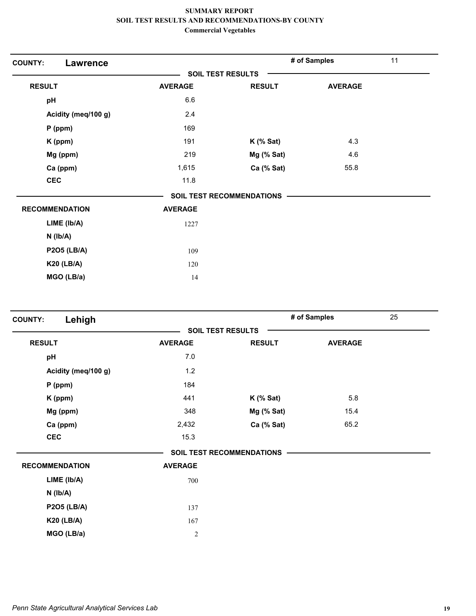| <b>COUNTY:</b><br><b>Lawrence</b> |                |                                  | # of Samples                         | 11 |
|-----------------------------------|----------------|----------------------------------|--------------------------------------|----|
|                                   |                | <b>SOIL TEST RESULTS</b>         | <b>AVERAGE</b><br>4.3<br>4.6<br>55.8 |    |
| <b>RESULT</b>                     | <b>AVERAGE</b> | <b>RESULT</b>                    |                                      |    |
| pH                                | 6.6            |                                  |                                      |    |
| Acidity (meq/100 g)               | 2.4            |                                  |                                      |    |
| P (ppm)                           | 169            |                                  |                                      |    |
| K (ppm)                           | 191            | $K$ (% Sat)                      |                                      |    |
| Mg (ppm)                          | 219            | $Mg$ (% Sat)                     |                                      |    |
| Ca (ppm)                          | 1,615          | Ca (% Sat)                       |                                      |    |
| <b>CEC</b>                        | 11.8           |                                  |                                      |    |
|                                   |                | <b>SOIL TEST RECOMMENDATIONS</b> |                                      |    |
| <b>RECOMMENDATION</b>             | <b>AVERAGE</b> |                                  |                                      |    |
| LIME (lb/A)                       | 1227           |                                  |                                      |    |
| $N$ ( $Ib/A$ )                    |                |                                  |                                      |    |
| <b>P2O5 (LB/A)</b>                | 109            |                                  |                                      |    |
| <b>K20 (LB/A)</b>                 | 120            |                                  |                                      |    |
| MGO (LB/a)                        | 14             |                                  |                                      |    |

| Lehigh<br><b>COUNTY:</b> |                |                                  | # of Samples   | 25 |
|--------------------------|----------------|----------------------------------|----------------|----|
|                          |                | <b>SOIL TEST RESULTS</b>         |                |    |
| <b>RESULT</b>            | <b>AVERAGE</b> | <b>RESULT</b>                    | <b>AVERAGE</b> |    |
| pH                       | 7.0            |                                  |                |    |
| Acidity (meq/100 g)      | $1.2$          |                                  |                |    |
| $P$ (ppm)                | 184            |                                  |                |    |
| K (ppm)                  | 441            | $K$ (% Sat)                      | 5.8            |    |
| Mg (ppm)                 | 348            | Mg (% Sat)                       | 15.4           |    |
| Ca (ppm)                 | 2,432          | Ca (% Sat)                       | 65.2           |    |
| <b>CEC</b>               | 15.3           |                                  |                |    |
|                          |                | <b>SOIL TEST RECOMMENDATIONS</b> |                |    |
| <b>RECOMMENDATION</b>    | <b>AVERAGE</b> |                                  |                |    |
| LIME (Ib/A)              | 700            |                                  |                |    |
| $N$ ( $Ib/A$ )           |                |                                  |                |    |
| <b>P2O5 (LB/A)</b>       | 137            |                                  |                |    |
| <b>K20 (LB/A)</b>        | 167            |                                  |                |    |
| MGO (LB/a)               | $\sqrt{2}$     |                                  |                |    |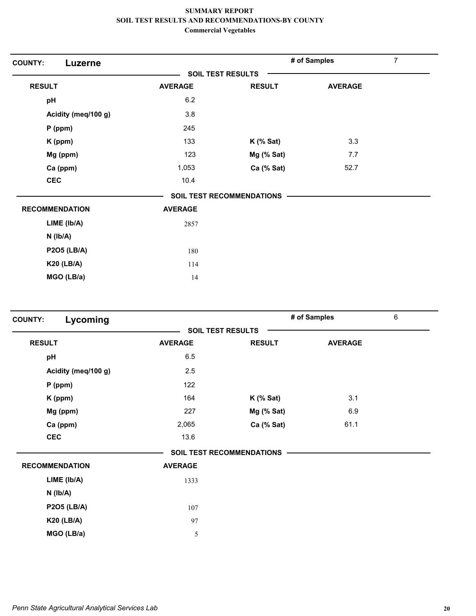| <b>COUNTY:</b><br>Luzerne |                |                                  | # of Samples   | $\overline{7}$ |
|---------------------------|----------------|----------------------------------|----------------|----------------|
|                           |                | <b>SOIL TEST RESULTS</b>         |                |                |
| <b>RESULT</b>             | <b>AVERAGE</b> | <b>RESULT</b>                    | <b>AVERAGE</b> |                |
| pH                        | 6.2            |                                  |                |                |
| Acidity (meq/100 g)       | 3.8            |                                  |                |                |
| $P$ (ppm)                 | 245            |                                  |                |                |
| K (ppm)                   | 133            | $K$ (% Sat)                      | 3.3            |                |
| Mg (ppm)                  | 123            | Mg (% Sat)                       | 7.7            |                |
| Ca (ppm)                  | 1,053          | Ca (% Sat)                       | 52.7           |                |
| <b>CEC</b>                | 10.4           |                                  |                |                |
|                           |                | <b>SOIL TEST RECOMMENDATIONS</b> |                |                |
| <b>RECOMMENDATION</b>     | <b>AVERAGE</b> |                                  |                |                |
| LIME (Ib/A)               | 2857           |                                  |                |                |
| $N$ ( $Ib/A$ )            |                |                                  |                |                |
| <b>P2O5 (LB/A)</b>        | 180            |                                  |                |                |
| <b>K20 (LB/A)</b>         | 114            |                                  |                |                |
| MGO (LB/a)                | 14             |                                  |                |                |
|                           |                |                                  |                |                |

| Lycoming<br><b>COUNTY:</b> |                |                                  | # of Samples   | 6 |
|----------------------------|----------------|----------------------------------|----------------|---|
|                            |                | <b>SOIL TEST RESULTS</b>         |                |   |
| <b>RESULT</b>              | <b>AVERAGE</b> | <b>RESULT</b>                    | <b>AVERAGE</b> |   |
| pH                         | 6.5            |                                  |                |   |
| Acidity (meq/100 g)        | 2.5            |                                  |                |   |
| $P$ (ppm)                  | 122            |                                  |                |   |
| K (ppm)                    | 164            | $K$ (% Sat)                      | 3.1            |   |
| Mg (ppm)                   | 227            | Mg (% Sat)                       | 6.9            |   |
| Ca (ppm)                   | 2,065          | Ca (% Sat)                       | 61.1           |   |
| <b>CEC</b>                 | 13.6           |                                  |                |   |
|                            |                | <b>SOIL TEST RECOMMENDATIONS</b> |                |   |
| <b>RECOMMENDATION</b>      | <b>AVERAGE</b> |                                  |                |   |
| LIME (lb/A)                | 1333           |                                  |                |   |
| $N$ ( $Ib/A$ )             |                |                                  |                |   |
| <b>P2O5 (LB/A)</b>         | 107            |                                  |                |   |
| <b>K20 (LB/A)</b>          | 97             |                                  |                |   |
| MGO (LB/a)                 | 5              |                                  |                |   |
|                            |                |                                  |                |   |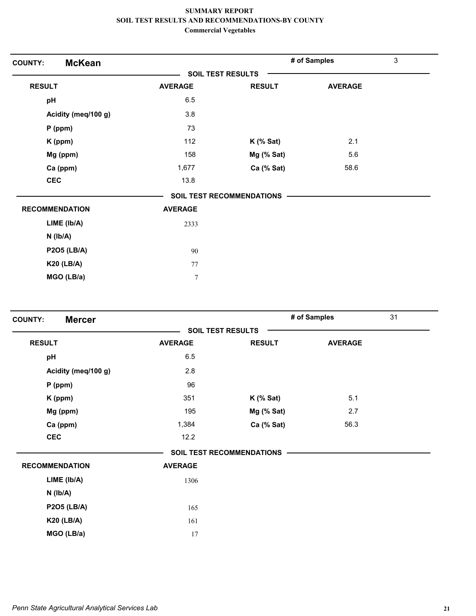| <b>McKean</b><br><b>COUNTY:</b> |                |                                  | # of Samples   | $\mathfrak{Z}$ |
|---------------------------------|----------------|----------------------------------|----------------|----------------|
|                                 |                | <b>SOIL TEST RESULTS</b>         |                |                |
| <b>RESULT</b>                   | <b>AVERAGE</b> | <b>RESULT</b>                    | <b>AVERAGE</b> |                |
| pH                              | 6.5            |                                  |                |                |
| Acidity (meq/100 g)             | 3.8            |                                  |                |                |
| $P$ (ppm)                       | 73             |                                  |                |                |
| K (ppm)                         | 112            | $K$ (% Sat)                      | 2.1            |                |
| Mg (ppm)                        | 158            | Mg (% Sat)                       | 5.6            |                |
| Ca (ppm)                        | 1,677          | Ca (% Sat)                       | 58.6           |                |
| <b>CEC</b>                      | 13.8           |                                  |                |                |
|                                 |                | <b>SOIL TEST RECOMMENDATIONS</b> |                |                |
| <b>RECOMMENDATION</b>           | <b>AVERAGE</b> |                                  |                |                |
| LIME (Ib/A)                     | 2333           |                                  |                |                |
| $N$ ( $Ib/A$ )                  |                |                                  |                |                |
| <b>P2O5 (LB/A)</b>              | 90             |                                  |                |                |
| <b>K20 (LB/A)</b>               | 77             |                                  |                |                |
| MGO (LB/a)                      | $\tau$         |                                  |                |                |

| <b>Mercer</b><br><b>COUNTY:</b> |                |                                  | # of Samples   | 31 |
|---------------------------------|----------------|----------------------------------|----------------|----|
|                                 |                | <b>SOIL TEST RESULTS</b>         |                |    |
| <b>RESULT</b>                   | <b>AVERAGE</b> | <b>RESULT</b>                    | <b>AVERAGE</b> |    |
| pH                              | 6.5            |                                  |                |    |
| Acidity (meq/100 g)             | 2.8            |                                  |                |    |
| $P$ (ppm)                       | 96             |                                  |                |    |
| K (ppm)                         | 351            | $K$ (% Sat)                      | 5.1            |    |
| Mg (ppm)                        | 195            | Mg (% Sat)                       | 2.7            |    |
| Ca (ppm)                        | 1,384          | Ca (% Sat)                       | 56.3           |    |
| <b>CEC</b>                      | 12.2           |                                  |                |    |
|                                 |                | <b>SOIL TEST RECOMMENDATIONS</b> |                |    |
| <b>RECOMMENDATION</b>           | <b>AVERAGE</b> |                                  |                |    |
| LIME (lb/A)                     | 1306           |                                  |                |    |
| $N$ ( $Ib/A$ )                  |                |                                  |                |    |
| <b>P2O5 (LB/A)</b>              | 165            |                                  |                |    |
| <b>K20 (LB/A)</b>               | 161            |                                  |                |    |
| MGO (LB/a)                      | 17             |                                  |                |    |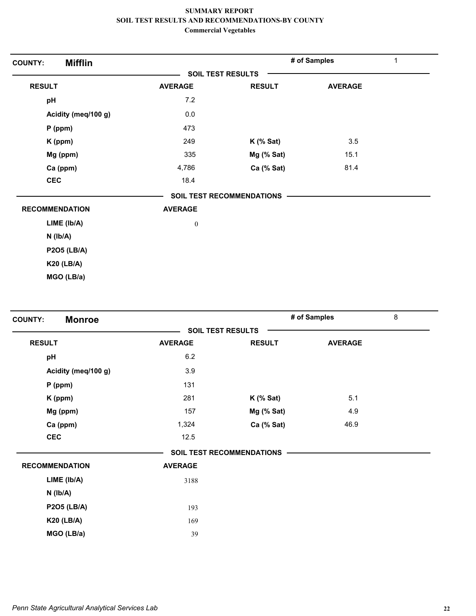| <b>Mifflin</b><br><b>COUNTY:</b> |                          |                                  | # of Samples   | 1 |
|----------------------------------|--------------------------|----------------------------------|----------------|---|
|                                  | <b>SOIL TEST RESULTS</b> |                                  |                |   |
| <b>RESULT</b>                    | <b>AVERAGE</b>           | <b>RESULT</b>                    | <b>AVERAGE</b> |   |
| pH                               | 7.2                      |                                  |                |   |
| Acidity (meq/100 g)              | 0.0                      |                                  |                |   |
| $P$ (ppm)                        | 473                      |                                  |                |   |
| K (ppm)                          | 249                      | $K$ (% Sat)                      | 3.5            |   |
| Mg (ppm)                         | 335                      | Mg (% Sat)                       | 15.1           |   |
| Ca (ppm)                         | 4,786                    | Ca (% Sat)                       | 81.4           |   |
| <b>CEC</b>                       | 18.4                     |                                  |                |   |
|                                  |                          | <b>SOIL TEST RECOMMENDATIONS</b> |                |   |
| <b>RECOMMENDATION</b>            | <b>AVERAGE</b>           |                                  |                |   |
| LIME (Ib/A)                      | $\boldsymbol{0}$         |                                  |                |   |
| $N$ ( $lb/A$ )                   |                          |                                  |                |   |
| <b>P2O5 (LB/A)</b>               |                          |                                  |                |   |
| <b>K20 (LB/A)</b>                |                          |                                  |                |   |
| MGO (LB/a)                       |                          |                                  |                |   |

| <b>Monroe</b><br><b>COUNTY:</b> |                |                                  | # of Samples   | 8 |
|---------------------------------|----------------|----------------------------------|----------------|---|
|                                 |                | <b>SOIL TEST RESULTS</b>         |                |   |
| <b>RESULT</b>                   | <b>AVERAGE</b> | <b>RESULT</b>                    | <b>AVERAGE</b> |   |
| pH                              | 6.2            |                                  |                |   |
| Acidity (meq/100 g)             | 3.9            |                                  |                |   |
| $P$ (ppm)                       | 131            |                                  |                |   |
| K (ppm)                         | 281            | $K$ (% Sat)                      | 5.1            |   |
| Mg (ppm)                        | 157            | Mg (% Sat)                       | 4.9            |   |
| Ca (ppm)                        | 1,324          | Ca (% Sat)                       | 46.9           |   |
| <b>CEC</b>                      | 12.5           |                                  |                |   |
|                                 |                | <b>SOIL TEST RECOMMENDATIONS</b> |                |   |
| <b>RECOMMENDATION</b>           | <b>AVERAGE</b> |                                  |                |   |
| LIME (Ib/A)                     | 3188           |                                  |                |   |
| $N$ ( $Ib/A$ )                  |                |                                  |                |   |
| <b>P2O5 (LB/A)</b>              | 193            |                                  |                |   |
| <b>K20 (LB/A)</b>               | 169            |                                  |                |   |
| MGO (LB/a)                      | 39             |                                  |                |   |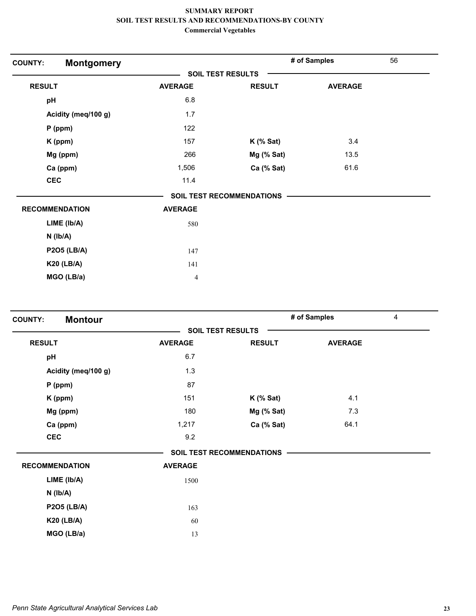| <b>Montgomery</b><br><b>COUNTY:</b> |                |                                  | # of Samples   | 56 |
|-------------------------------------|----------------|----------------------------------|----------------|----|
|                                     |                | <b>SOIL TEST RESULTS</b>         |                |    |
| <b>RESULT</b>                       | <b>AVERAGE</b> | <b>RESULT</b>                    | <b>AVERAGE</b> |    |
| pH                                  | 6.8            |                                  |                |    |
| Acidity (meq/100 g)                 | 1.7            |                                  |                |    |
| $P$ (ppm)                           | 122            |                                  |                |    |
| K (ppm)                             | 157            | $K$ (% Sat)                      | 3.4            |    |
| Mg (ppm)                            | 266            | Mg (% Sat)                       | 13.5           |    |
| Ca (ppm)                            | 1,506          | Ca (% Sat)                       | 61.6           |    |
| <b>CEC</b>                          | 11.4           |                                  |                |    |
|                                     |                | <b>SOIL TEST RECOMMENDATIONS</b> |                |    |
| <b>RECOMMENDATION</b>               | <b>AVERAGE</b> |                                  |                |    |
| LIME (Ib/A)                         | 580            |                                  |                |    |
| $N$ ( $lb/A$ )                      |                |                                  |                |    |
| <b>P2O5 (LB/A)</b>                  | 147            |                                  |                |    |
| <b>K20 (LB/A)</b>                   | 141            |                                  |                |    |
| MGO (LB/a)                          | 4              |                                  |                |    |
|                                     |                |                                  |                |    |

| <b>Montour</b><br><b>COUNTY:</b> |                |                           | # of Samples   | $\overline{4}$ |
|----------------------------------|----------------|---------------------------|----------------|----------------|
|                                  |                | <b>SOIL TEST RESULTS</b>  |                |                |
| <b>RESULT</b>                    | <b>AVERAGE</b> | <b>RESULT</b>             | <b>AVERAGE</b> |                |
| pH                               | 6.7            |                           |                |                |
| Acidity (meq/100 g)              | 1.3            |                           |                |                |
| $P$ (ppm)                        | 87             |                           |                |                |
| K (ppm)                          | 151            | $K$ (% Sat)               | 4.1            |                |
| Mg (ppm)                         | 180            | Mg (% Sat)                | 7.3            |                |
| Ca (ppm)                         | 1,217          | Ca (% Sat)                | 64.1           |                |
| <b>CEC</b>                       | 9.2            |                           |                |                |
|                                  |                | SOIL TEST RECOMMENDATIONS |                |                |
| <b>RECOMMENDATION</b>            | <b>AVERAGE</b> |                           |                |                |
| LIME (Ib/A)                      | 1500           |                           |                |                |
| $N$ ( $lb/A$ )                   |                |                           |                |                |
| <b>P2O5 (LB/A)</b>               | 163            |                           |                |                |
| <b>K20 (LB/A)</b>                | 60             |                           |                |                |
| MGO (LB/a)                       | 13             |                           |                |                |
|                                  |                |                           |                |                |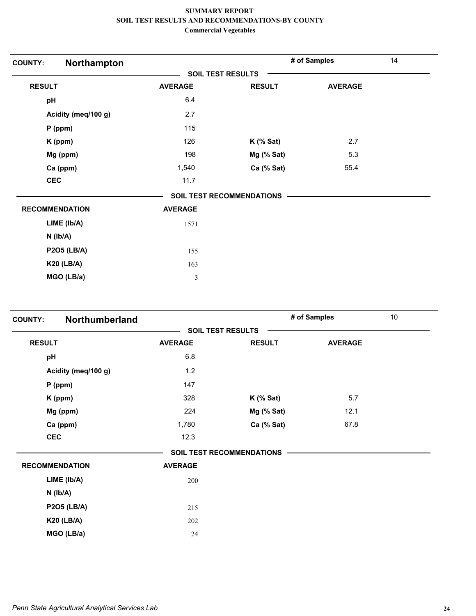| Northampton<br><b>COUNTY:</b> |                |                                  | # of Samples   | 14 |
|-------------------------------|----------------|----------------------------------|----------------|----|
|                               |                | <b>SOIL TEST RESULTS</b>         |                |    |
| <b>RESULT</b>                 | <b>AVERAGE</b> | <b>RESULT</b>                    | <b>AVERAGE</b> |    |
| pH                            | 6.4            |                                  |                |    |
| Acidity (meq/100 g)           | 2.7            |                                  |                |    |
| $P$ (ppm)                     | 115            |                                  |                |    |
| K (ppm)                       | 126            | $K$ (% Sat)                      | 2.7            |    |
| Mg (ppm)                      | 198            | Mg (% Sat)                       | 5.3            |    |
| Ca (ppm)                      | 1,540          | Ca (% Sat)                       | 55.4           |    |
| <b>CEC</b>                    | 11.7           |                                  |                |    |
|                               |                | <b>SOIL TEST RECOMMENDATIONS</b> |                |    |
| <b>RECOMMENDATION</b>         | <b>AVERAGE</b> |                                  |                |    |
| LIME (Ib/A)                   | 1571           |                                  |                |    |
| $N$ ( $lb/A$ )                |                |                                  |                |    |
| <b>P2O5 (LB/A)</b>            | 155            |                                  |                |    |
| <b>K20 (LB/A)</b>             | 163            |                                  |                |    |
| MGO (LB/a)                    | 3              |                                  |                |    |
|                               |                |                                  |                |    |

| <b>COUNTY:</b> | Northumberland        |                |                                  | # of Samples   | 10 |
|----------------|-----------------------|----------------|----------------------------------|----------------|----|
|                |                       |                | <b>SOIL TEST RESULTS</b>         |                |    |
| <b>RESULT</b>  |                       | <b>AVERAGE</b> | <b>RESULT</b>                    | <b>AVERAGE</b> |    |
| pH             |                       | 6.8            |                                  |                |    |
|                | Acidity (meq/100 g)   | 1.2            |                                  |                |    |
|                | $P$ (ppm)             | 147            |                                  |                |    |
|                | K (ppm)               | 328            | $K$ (% Sat)                      | 5.7            |    |
|                | Mg (ppm)              | 224            | Mg (% Sat)                       | 12.1           |    |
|                | Ca (ppm)              | 1,780          | Ca (% Sat)                       | 67.8           |    |
|                | <b>CEC</b>            | 12.3           |                                  |                |    |
|                |                       |                | <b>SOIL TEST RECOMMENDATIONS</b> |                |    |
|                | <b>RECOMMENDATION</b> | <b>AVERAGE</b> |                                  |                |    |
|                | LIME (Ib/A)           | 200            |                                  |                |    |
|                | $N$ ( $Ib/A$ )        |                |                                  |                |    |
|                | <b>P2O5 (LB/A)</b>    | 215            |                                  |                |    |
|                | <b>K20 (LB/A)</b>     | 202            |                                  |                |    |
|                | MGO (LB/a)            | 24             |                                  |                |    |
|                |                       |                |                                  |                |    |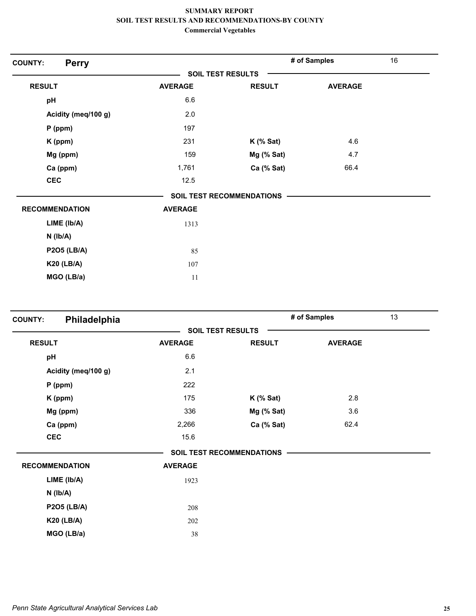| <b>Perry</b><br><b>COUNTY:</b> |                |                                  | # of Samples   | 16 |
|--------------------------------|----------------|----------------------------------|----------------|----|
|                                |                | <b>SOIL TEST RESULTS</b>         |                |    |
| <b>RESULT</b>                  | <b>AVERAGE</b> | <b>RESULT</b>                    | <b>AVERAGE</b> |    |
| pH                             | 6.6            |                                  |                |    |
| Acidity (meq/100 g)            | 2.0            |                                  |                |    |
| $P$ (ppm)                      | 197            |                                  |                |    |
| K (ppm)                        | 231            | $K$ (% Sat)                      | 4.6            |    |
| Mg (ppm)                       | 159            | Mg (% Sat)                       | 4.7            |    |
| Ca (ppm)                       | 1,761          | Ca (% Sat)                       | 66.4           |    |
| <b>CEC</b>                     | 12.5           |                                  |                |    |
|                                |                | <b>SOIL TEST RECOMMENDATIONS</b> |                |    |
| <b>RECOMMENDATION</b>          | <b>AVERAGE</b> |                                  |                |    |
| LIME (lb/A)                    | 1313           |                                  |                |    |
| $N$ ( $Ib/A$ )                 |                |                                  |                |    |
| <b>P2O5 (LB/A)</b>             | 85             |                                  |                |    |
| <b>K20 (LB/A)</b>              | 107            |                                  |                |    |
| MGO (LB/a)                     | 11             |                                  |                |    |
|                                |                |                                  |                |    |

| Philadelphia<br><b>COUNTY:</b> |                |                                  | # of Samples   | 13 |
|--------------------------------|----------------|----------------------------------|----------------|----|
|                                |                | <b>SOIL TEST RESULTS</b>         |                |    |
| <b>RESULT</b>                  | <b>AVERAGE</b> | <b>RESULT</b>                    | <b>AVERAGE</b> |    |
| pH                             | 6.6            |                                  |                |    |
| Acidity (meq/100 g)            | 2.1            |                                  |                |    |
| $P$ (ppm)                      | 222            |                                  |                |    |
| K (ppm)                        | 175            | $K$ (% Sat)                      | 2.8            |    |
| Mg (ppm)                       | 336            | Mg (% Sat)                       | 3.6            |    |
| Ca (ppm)                       | 2,266          | Ca (% Sat)                       | 62.4           |    |
| <b>CEC</b>                     | 15.6           |                                  |                |    |
|                                |                | <b>SOIL TEST RECOMMENDATIONS</b> |                |    |
| <b>RECOMMENDATION</b>          | <b>AVERAGE</b> |                                  |                |    |
| LIME (Ib/A)                    | 1923           |                                  |                |    |
| $N$ ( $Ib/A$ )                 |                |                                  |                |    |
| <b>P2O5 (LB/A)</b>             | 208            |                                  |                |    |
| <b>K20 (LB/A)</b>              | 202            |                                  |                |    |
| MGO (LB/a)                     | 38             |                                  |                |    |
|                                |                |                                  |                |    |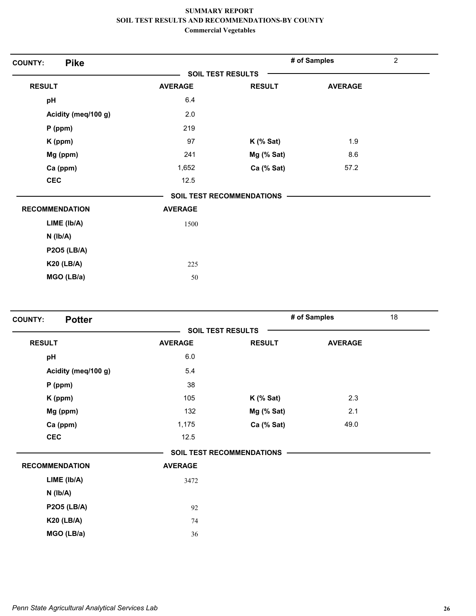| <b>Pike</b><br><b>COUNTY:</b> |                |                                  | # of Samples   | $\overline{2}$ |
|-------------------------------|----------------|----------------------------------|----------------|----------------|
|                               |                | <b>SOIL TEST RESULTS</b>         |                |                |
| <b>RESULT</b>                 | <b>AVERAGE</b> | <b>RESULT</b>                    | <b>AVERAGE</b> |                |
| pH                            | 6.4            |                                  |                |                |
| Acidity (meq/100 g)           | 2.0            |                                  |                |                |
| $P$ (ppm)                     | 219            |                                  |                |                |
| K (ppm)                       | 97             | $K$ (% Sat)                      | 1.9            |                |
| Mg (ppm)                      | 241            | Mg (% Sat)                       | 8.6            |                |
| Ca (ppm)                      | 1,652          | Ca (% Sat)                       | 57.2           |                |
| <b>CEC</b>                    | 12.5           |                                  |                |                |
|                               |                | <b>SOIL TEST RECOMMENDATIONS</b> |                |                |
| <b>RECOMMENDATION</b>         | <b>AVERAGE</b> |                                  |                |                |
| LIME (Ib/A)                   | 1500           |                                  |                |                |
| $N$ ( $lb/A$ )                |                |                                  |                |                |
| <b>P2O5 (LB/A)</b>            |                |                                  |                |                |
| <b>K20 (LB/A)</b>             | 225            |                                  |                |                |
| MGO (LB/a)                    | 50             |                                  |                |                |

| <b>Potter</b><br><b>COUNTY:</b> |                |                           | # of Samples   | 18 |
|---------------------------------|----------------|---------------------------|----------------|----|
|                                 |                | <b>SOIL TEST RESULTS</b>  |                |    |
| <b>RESULT</b>                   | <b>AVERAGE</b> | <b>RESULT</b>             | <b>AVERAGE</b> |    |
| pH                              | 6.0            |                           |                |    |
| Acidity (meq/100 g)             | 5.4            |                           |                |    |
| $P$ (ppm)                       | 38             |                           |                |    |
| K (ppm)                         | 105            | $K$ (% Sat)               | 2.3            |    |
| Mg (ppm)                        | 132            | Mg (% Sat)                | 2.1            |    |
| Ca (ppm)                        | 1,175          | Ca (% Sat)                | 49.0           |    |
| <b>CEC</b>                      | 12.5           |                           |                |    |
|                                 |                | SOIL TEST RECOMMENDATIONS |                |    |
| <b>RECOMMENDATION</b>           | <b>AVERAGE</b> |                           |                |    |
| LIME (Ib/A)                     | 3472           |                           |                |    |
| $N$ ( $Ib/A$ )                  |                |                           |                |    |
| <b>P2O5 (LB/A)</b>              | 92             |                           |                |    |
| <b>K20 (LB/A)</b>               | 74             |                           |                |    |
| MGO (LB/a)                      | 36             |                           |                |    |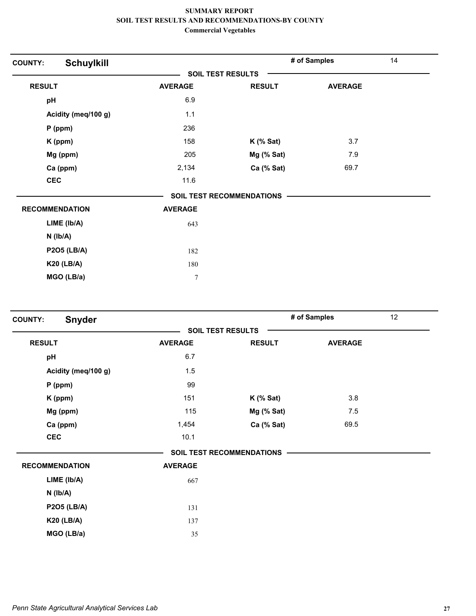| <b>Schuylkill</b><br><b>COUNTY:</b> |                |                                  | # of Samples   | 14 |
|-------------------------------------|----------------|----------------------------------|----------------|----|
|                                     |                | <b>SOIL TEST RESULTS</b>         |                |    |
| <b>RESULT</b>                       | <b>AVERAGE</b> | <b>RESULT</b>                    | <b>AVERAGE</b> |    |
| pH                                  | 6.9            |                                  |                |    |
| Acidity (meq/100 g)                 | 1.1            |                                  |                |    |
| $P$ (ppm)                           | 236            |                                  |                |    |
| K (ppm)                             | 158            | $K$ (% Sat)                      | 3.7            |    |
| Mg (ppm)                            | 205            | Mg (% Sat)                       | 7.9            |    |
| Ca (ppm)                            | 2,134          | Ca (% Sat)                       | 69.7           |    |
| <b>CEC</b>                          | 11.6           |                                  |                |    |
|                                     |                | <b>SOIL TEST RECOMMENDATIONS</b> |                |    |
| <b>RECOMMENDATION</b>               | <b>AVERAGE</b> |                                  |                |    |
| LIME (lb/A)                         | 643            |                                  |                |    |
| $N$ ( $Ib/A$ )                      |                |                                  |                |    |
| <b>P2O5 (LB/A)</b>                  | 182            |                                  |                |    |
| <b>K20 (LB/A)</b>                   | 180            |                                  |                |    |
| MGO (LB/a)                          | $\overline{7}$ |                                  |                |    |

| <b>Snyder</b><br><b>COUNTY:</b> |                          |                                  | # of Samples   | 12 |
|---------------------------------|--------------------------|----------------------------------|----------------|----|
|                                 | <b>SOIL TEST RESULTS</b> |                                  |                |    |
| <b>RESULT</b>                   | <b>AVERAGE</b>           | <b>RESULT</b>                    | <b>AVERAGE</b> |    |
| pH                              | 6.7                      |                                  |                |    |
| Acidity (meq/100 g)             | 1.5                      |                                  |                |    |
| $P$ (ppm)                       | 99                       |                                  |                |    |
| K (ppm)                         | 151                      | $K$ (% Sat)                      | 3.8            |    |
| Mg (ppm)                        | 115                      | Mg (% Sat)                       | 7.5            |    |
| Ca (ppm)                        | 1,454                    | Ca (% Sat)                       | 69.5           |    |
| <b>CEC</b>                      | 10.1                     |                                  |                |    |
|                                 |                          | <b>SOIL TEST RECOMMENDATIONS</b> |                |    |
| <b>RECOMMENDATION</b>           | <b>AVERAGE</b>           |                                  |                |    |
| LIME (Ib/A)                     | 667                      |                                  |                |    |
| $N$ ( $Ib/A$ )                  |                          |                                  |                |    |
| <b>P2O5 (LB/A)</b>              | 131                      |                                  |                |    |
| <b>K20 (LB/A)</b>               | 137                      |                                  |                |    |
| MGO (LB/a)                      | 35                       |                                  |                |    |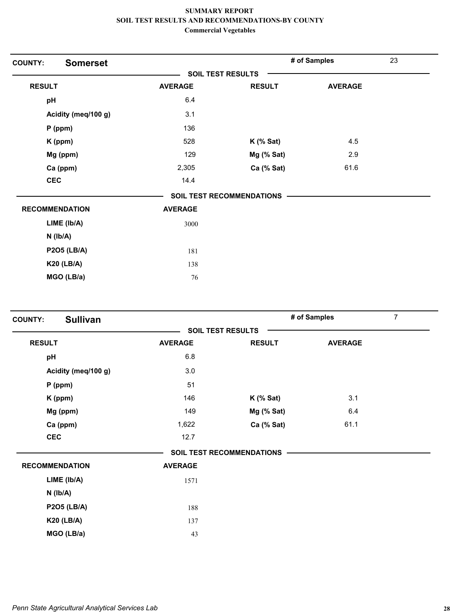| <b>Somerset</b><br><b>COUNTY:</b> |                |                           | # of Samples   | 23 |
|-----------------------------------|----------------|---------------------------|----------------|----|
|                                   |                | <b>SOIL TEST RESULTS</b>  |                |    |
| <b>RESULT</b>                     | <b>AVERAGE</b> | <b>RESULT</b>             | <b>AVERAGE</b> |    |
| pH                                | 6.4            |                           |                |    |
| Acidity (meq/100 g)               | 3.1            |                           |                |    |
| P (ppm)                           | 136            |                           |                |    |
| K (ppm)                           | 528            | $K$ (% Sat)               | 4.5            |    |
| Mg (ppm)                          | 129            | Mg (% Sat)                | 2.9            |    |
| Ca (ppm)                          | 2,305          | Ca (% Sat)                | 61.6           |    |
| <b>CEC</b>                        | 14.4           |                           |                |    |
|                                   |                | SOIL TEST RECOMMENDATIONS |                |    |
| <b>RECOMMENDATION</b>             | <b>AVERAGE</b> |                           |                |    |
| LIME (lb/A)                       | 3000           |                           |                |    |
| $N$ ( $Ib/A$ )                    |                |                           |                |    |
| <b>P2O5 (LB/A)</b>                | 181            |                           |                |    |
| <b>K20 (LB/A)</b>                 | 138            |                           |                |    |
| MGO (LB/a)                        | 76             |                           |                |    |

| <b>Sullivan</b><br><b>COUNTY:</b> |                |                                  | # of Samples   | $\overline{7}$ |
|-----------------------------------|----------------|----------------------------------|----------------|----------------|
|                                   |                | <b>SOIL TEST RESULTS</b>         |                |                |
| <b>RESULT</b>                     | <b>AVERAGE</b> | <b>RESULT</b>                    | <b>AVERAGE</b> |                |
| pH                                | 6.8            |                                  |                |                |
| Acidity (meq/100 g)               | 3.0            |                                  |                |                |
| $P$ (ppm)                         | 51             |                                  |                |                |
| K (ppm)                           | 146            | $K$ (% Sat)                      | 3.1            |                |
| Mg (ppm)                          | 149            | Mg (% Sat)                       | 6.4            |                |
| Ca (ppm)                          | 1,622          | Ca (% Sat)                       | 61.1           |                |
| <b>CEC</b>                        | 12.7           |                                  |                |                |
|                                   |                | <b>SOIL TEST RECOMMENDATIONS</b> |                |                |
| <b>RECOMMENDATION</b>             | <b>AVERAGE</b> |                                  |                |                |
| LIME (Ib/A)                       | 1571           |                                  |                |                |
| $N$ ( $lb/A$ )                    |                |                                  |                |                |
| <b>P2O5 (LB/A)</b>                | 188            |                                  |                |                |
| <b>K20 (LB/A)</b>                 | 137            |                                  |                |                |
| MGO (LB/a)                        | 43             |                                  |                |                |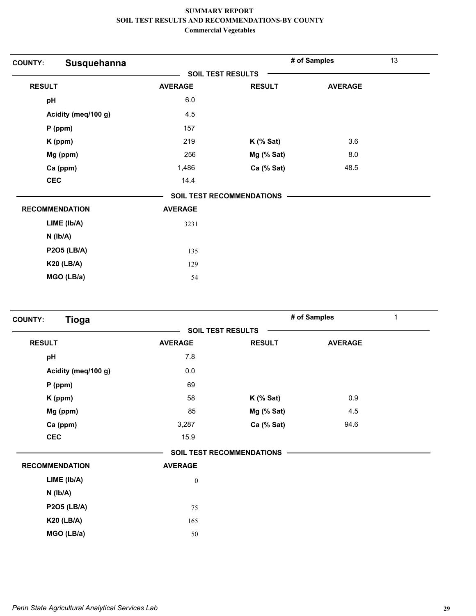| Susquehanna<br><b>COUNTY:</b> |                |                                  | # of Samples   | 13 |
|-------------------------------|----------------|----------------------------------|----------------|----|
|                               |                | <b>SOIL TEST RESULTS</b>         |                |    |
| <b>RESULT</b>                 | <b>AVERAGE</b> | <b>RESULT</b>                    | <b>AVERAGE</b> |    |
| pH                            | 6.0            |                                  |                |    |
| Acidity (meq/100 g)           | 4.5            |                                  |                |    |
| $P$ (ppm)                     | 157            |                                  |                |    |
| K (ppm)                       | 219            | $K$ (% Sat)                      | 3.6            |    |
| Mg (ppm)                      | 256            | Mg (% Sat)                       | 8.0            |    |
| Ca (ppm)                      | 1,486          | Ca (% Sat)                       | 48.5           |    |
| <b>CEC</b>                    | 14.4           |                                  |                |    |
|                               |                | <b>SOIL TEST RECOMMENDATIONS</b> |                |    |
| <b>RECOMMENDATION</b>         | <b>AVERAGE</b> |                                  |                |    |
| LIME (lb/A)                   | 3231           |                                  |                |    |
| $N$ ( $Ib/A$ )                |                |                                  |                |    |
| <b>P2O5 (LB/A)</b>            | 135            |                                  |                |    |
| <b>K20 (LB/A)</b>             | 129            |                                  |                |    |
| MGO (LB/a)                    | 54             |                                  |                |    |

| <b>Tioga</b><br><b>COUNTY:</b> |                  |                                  | # of Samples<br>$\mathbf{1}$ |  |
|--------------------------------|------------------|----------------------------------|------------------------------|--|
|                                |                  | <b>SOIL TEST RESULTS</b>         |                              |  |
| <b>RESULT</b>                  | <b>AVERAGE</b>   | <b>RESULT</b>                    | <b>AVERAGE</b>               |  |
| pH                             | 7.8              |                                  |                              |  |
| Acidity (meq/100 g)            | 0.0              |                                  |                              |  |
| $P$ (ppm)                      | 69               |                                  |                              |  |
| K (ppm)                        | 58               | $K$ (% Sat)                      | 0.9                          |  |
| Mg (ppm)                       | 85               | Mg (% Sat)                       | 4.5                          |  |
| Ca (ppm)                       | 3,287            | Ca (% Sat)                       | 94.6                         |  |
| <b>CEC</b>                     | 15.9             |                                  |                              |  |
|                                |                  | <b>SOIL TEST RECOMMENDATIONS</b> |                              |  |
| <b>RECOMMENDATION</b>          | <b>AVERAGE</b>   |                                  |                              |  |
| LIME (lb/A)                    | $\boldsymbol{0}$ |                                  |                              |  |
| $N$ ( $lb/A$ )                 |                  |                                  |                              |  |
| <b>P2O5 (LB/A)</b>             | 75               |                                  |                              |  |
| <b>K20 (LB/A)</b>              | 165              |                                  |                              |  |
| MGO (LB/a)                     | 50               |                                  |                              |  |
|                                |                  |                                  |                              |  |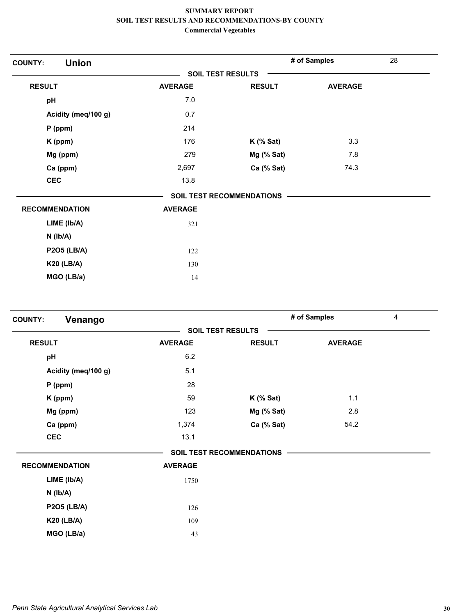| <b>Union</b><br><b>COUNTY:</b> |                |                                  | # of Samples   | 28 |
|--------------------------------|----------------|----------------------------------|----------------|----|
|                                |                | <b>SOIL TEST RESULTS</b>         |                |    |
| <b>RESULT</b>                  | <b>AVERAGE</b> | <b>RESULT</b>                    | <b>AVERAGE</b> |    |
| pH                             | 7.0            |                                  |                |    |
| Acidity (meq/100 g)            | 0.7            |                                  |                |    |
| $P$ (ppm)                      | 214            |                                  |                |    |
| K (ppm)                        | 176            | $K$ (% Sat)                      | 3.3            |    |
| Mg (ppm)                       | 279            | Mg (% Sat)                       | 7.8            |    |
| Ca (ppm)                       | 2,697          | Ca (% Sat)                       | 74.3           |    |
| <b>CEC</b>                     | 13.8           |                                  |                |    |
|                                |                | <b>SOIL TEST RECOMMENDATIONS</b> |                |    |
| <b>RECOMMENDATION</b>          | <b>AVERAGE</b> |                                  |                |    |
| LIME (Ib/A)                    | 321            |                                  |                |    |
| $N$ ( $Ib/A$ )                 |                |                                  |                |    |
| <b>P2O5 (LB/A)</b>             | 122            |                                  |                |    |
| <b>K20 (LB/A)</b>              | 130            |                                  |                |    |
| MGO (LB/a)                     | 14             |                                  |                |    |

| Venango<br><b>COUNTY:</b> |                |                                  | # of Samples   | 4 |
|---------------------------|----------------|----------------------------------|----------------|---|
|                           |                | <b>SOIL TEST RESULTS</b>         |                |   |
| <b>RESULT</b>             | <b>AVERAGE</b> | <b>RESULT</b>                    | <b>AVERAGE</b> |   |
| pH                        | 6.2            |                                  |                |   |
| Acidity (meq/100 g)       | 5.1            |                                  |                |   |
| $P$ (ppm)                 | 28             |                                  |                |   |
| K (ppm)                   | 59             | $K$ (% Sat)                      | 1.1            |   |
| Mg (ppm)                  | 123            | Mg (% Sat)                       | 2.8            |   |
| Ca (ppm)                  | 1,374          | Ca (% Sat)                       | 54.2           |   |
| <b>CEC</b>                | 13.1           |                                  |                |   |
|                           |                | <b>SOIL TEST RECOMMENDATIONS</b> |                |   |
| <b>RECOMMENDATION</b>     | <b>AVERAGE</b> |                                  |                |   |
| LIME (Ib/A)               | 1750           |                                  |                |   |
| $N$ ( $Ib/A$ )            |                |                                  |                |   |
| <b>P2O5 (LB/A)</b>        | 126            |                                  |                |   |
| <b>K20 (LB/A)</b>         | 109            |                                  |                |   |
| MGO (LB/a)                | 43             |                                  |                |   |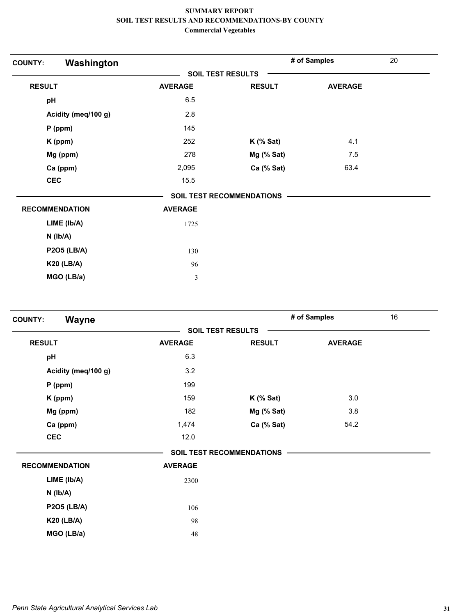| Washington<br><b>COUNTY:</b> |                |                                  | # of Samples   | 20 |
|------------------------------|----------------|----------------------------------|----------------|----|
|                              |                | <b>SOIL TEST RESULTS</b>         |                |    |
| <b>RESULT</b>                | <b>AVERAGE</b> | <b>RESULT</b>                    | <b>AVERAGE</b> |    |
| pH                           | 6.5            |                                  |                |    |
| Acidity (meq/100 g)          | 2.8            |                                  |                |    |
| P (ppm)                      | 145            |                                  |                |    |
| K (ppm)                      | 252            | $K$ (% Sat)                      | 4.1            |    |
| Mg (ppm)                     | 278            | Mg (% Sat)                       | 7.5            |    |
| Ca (ppm)                     | 2,095          | Ca (% Sat)                       | 63.4           |    |
| <b>CEC</b>                   | 15.5           |                                  |                |    |
|                              |                | <b>SOIL TEST RECOMMENDATIONS</b> |                |    |
| <b>RECOMMENDATION</b>        | <b>AVERAGE</b> |                                  |                |    |
| LIME (Ib/A)                  | 1725           |                                  |                |    |
| $N$ ( $lb/A$ )               |                |                                  |                |    |
| <b>P2O5 (LB/A)</b>           | 130            |                                  |                |    |
| <b>K20 (LB/A)</b>            | 96             |                                  |                |    |
| MGO (LB/a)                   | $\mathfrak{Z}$ |                                  |                |    |

| Wayne<br><b>COUNTY:</b> |                |                                  | # of Samples   | 16 |
|-------------------------|----------------|----------------------------------|----------------|----|
|                         |                | <b>SOIL TEST RESULTS</b>         |                |    |
| <b>RESULT</b>           | <b>AVERAGE</b> | <b>RESULT</b>                    | <b>AVERAGE</b> |    |
| pH                      | 6.3            |                                  |                |    |
| Acidity (meq/100 g)     | 3.2            |                                  |                |    |
| $P$ (ppm)               | 199            |                                  |                |    |
| K (ppm)                 | 159            | $K$ (% Sat)                      | 3.0            |    |
| Mg (ppm)                | 182            | Mg (% Sat)                       | 3.8            |    |
| Ca (ppm)                | 1,474          | Ca (% Sat)                       | 54.2           |    |
| <b>CEC</b>              | 12.0           |                                  |                |    |
|                         |                | <b>SOIL TEST RECOMMENDATIONS</b> |                |    |
| <b>RECOMMENDATION</b>   | <b>AVERAGE</b> |                                  |                |    |
| LIME (lb/A)             | 2300           |                                  |                |    |
| $N$ ( $lb/A$ )          |                |                                  |                |    |
| <b>P2O5 (LB/A)</b>      | 106            |                                  |                |    |
| <b>K20 (LB/A)</b>       | 98             |                                  |                |    |
| MGO (LB/a)              | 48             |                                  |                |    |
|                         |                |                                  |                |    |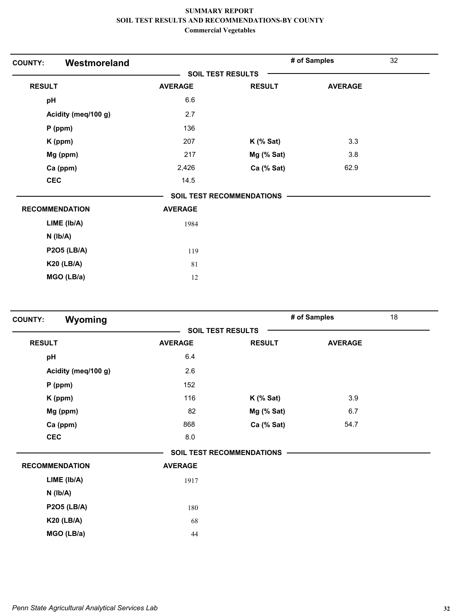| Westmoreland<br><b>COUNTY:</b> |                |                                  | # of Samples   | 32 |
|--------------------------------|----------------|----------------------------------|----------------|----|
|                                |                | <b>SOIL TEST RESULTS</b>         |                |    |
| <b>RESULT</b>                  | <b>AVERAGE</b> | <b>RESULT</b>                    | <b>AVERAGE</b> |    |
| pH                             | 6.6            |                                  |                |    |
| Acidity (meq/100 g)            | 2.7            |                                  |                |    |
| P (ppm)                        | 136            |                                  |                |    |
| K (ppm)                        | 207            | $K$ (% Sat)                      | 3.3            |    |
| Mg (ppm)                       | 217            | Mg (% Sat)                       | 3.8            |    |
| Ca (ppm)                       | 2,426          | Ca (% Sat)                       | 62.9           |    |
| <b>CEC</b>                     | 14.5           |                                  |                |    |
|                                |                | <b>SOIL TEST RECOMMENDATIONS</b> |                |    |
| <b>RECOMMENDATION</b>          | <b>AVERAGE</b> |                                  |                |    |
| LIME (lb/A)                    | 1984           |                                  |                |    |
| $N$ ( $lb/A$ )                 |                |                                  |                |    |
| <b>P2O5 (LB/A)</b>             | 119            |                                  |                |    |
| <b>K20 (LB/A)</b>              | 81             |                                  |                |    |
| MGO (LB/a)                     | 12             |                                  |                |    |

| Wyoming<br><b>COUNTY:</b> |                |                                  | # of Samples   | 18 |
|---------------------------|----------------|----------------------------------|----------------|----|
|                           |                | <b>SOIL TEST RESULTS</b>         |                |    |
| <b>RESULT</b>             | <b>AVERAGE</b> | <b>RESULT</b>                    | <b>AVERAGE</b> |    |
| pH                        | 6.4            |                                  |                |    |
| Acidity (meq/100 g)       | 2.6            |                                  |                |    |
| $P$ (ppm)                 | 152            |                                  |                |    |
| K (ppm)                   | 116            | $K$ (% Sat)                      | 3.9            |    |
| Mg (ppm)                  | 82             | Mg (% Sat)                       | 6.7            |    |
| Ca (ppm)                  | 868            | Ca (% Sat)                       | 54.7           |    |
| <b>CEC</b>                | 8.0            |                                  |                |    |
|                           |                | <b>SOIL TEST RECOMMENDATIONS</b> |                |    |
| <b>RECOMMENDATION</b>     | <b>AVERAGE</b> |                                  |                |    |
| LIME (Ib/A)               | 1917           |                                  |                |    |
| $N$ ( $Ib/A$ )            |                |                                  |                |    |
| <b>P2O5 (LB/A)</b>        | 180            |                                  |                |    |
| <b>K20 (LB/A)</b>         | 68             |                                  |                |    |
| MGO (LB/a)                | 44             |                                  |                |    |